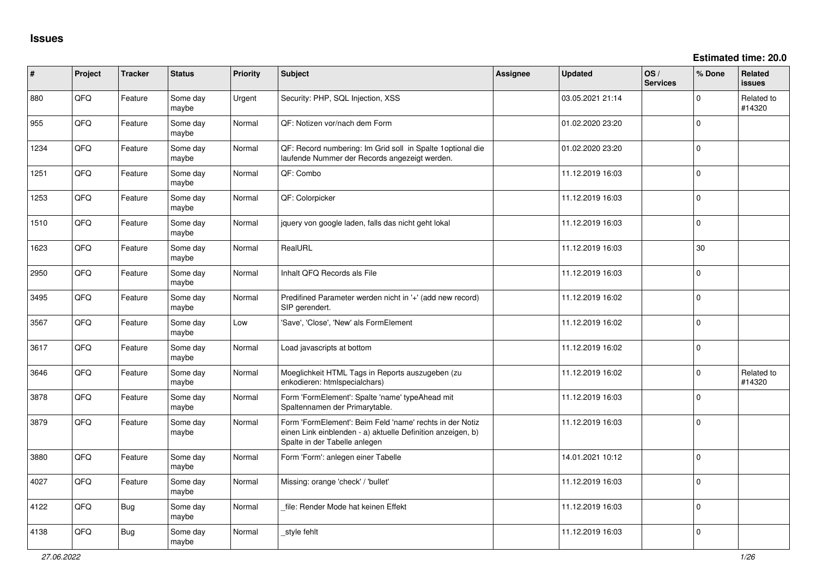**Estimated time: 20.0**

| #    | Project | <b>Tracker</b> | <b>Status</b>     | <b>Priority</b> | Subject                                                                                                                                                  | <b>Assignee</b> | <b>Updated</b>   | OS/<br><b>Services</b> | % Done      | Related<br><b>issues</b> |
|------|---------|----------------|-------------------|-----------------|----------------------------------------------------------------------------------------------------------------------------------------------------------|-----------------|------------------|------------------------|-------------|--------------------------|
| 880  | QFQ     | Feature        | Some day<br>maybe | Urgent          | Security: PHP, SQL Injection, XSS                                                                                                                        |                 | 03.05.2021 21:14 |                        | $\Omega$    | Related to<br>#14320     |
| 955  | QFQ     | Feature        | Some day<br>maybe | Normal          | QF: Notizen vor/nach dem Form                                                                                                                            |                 | 01.02.2020 23:20 |                        | $\mathbf 0$ |                          |
| 1234 | QFQ     | Feature        | Some day<br>maybe | Normal          | QF: Record numbering: Im Grid soll in Spalte 1 optional die<br>laufende Nummer der Records angezeigt werden.                                             |                 | 01.02.2020 23:20 |                        | $\mathbf 0$ |                          |
| 1251 | QFQ     | Feature        | Some day<br>maybe | Normal          | QF: Combo                                                                                                                                                |                 | 11.12.2019 16:03 |                        | $\mathbf 0$ |                          |
| 1253 | QFQ     | Feature        | Some day<br>maybe | Normal          | QF: Colorpicker                                                                                                                                          |                 | 11.12.2019 16:03 |                        | $\Omega$    |                          |
| 1510 | QFQ     | Feature        | Some day<br>maybe | Normal          | jquery von google laden, falls das nicht geht lokal                                                                                                      |                 | 11.12.2019 16:03 |                        | $\mathbf 0$ |                          |
| 1623 | QFQ     | Feature        | Some day<br>maybe | Normal          | RealURL                                                                                                                                                  |                 | 11.12.2019 16:03 |                        | 30          |                          |
| 2950 | QFQ     | Feature        | Some day<br>maybe | Normal          | Inhalt QFQ Records als File                                                                                                                              |                 | 11.12.2019 16:03 |                        | $\Omega$    |                          |
| 3495 | QFQ     | Feature        | Some day<br>maybe | Normal          | Predifined Parameter werden nicht in '+' (add new record)<br>SIP gerendert.                                                                              |                 | 11.12.2019 16:02 |                        | $\Omega$    |                          |
| 3567 | QFQ     | Feature        | Some day<br>maybe | Low             | 'Save', 'Close', 'New' als FormElement                                                                                                                   |                 | 11.12.2019 16:02 |                        | $\mathbf 0$ |                          |
| 3617 | QFQ     | Feature        | Some day<br>maybe | Normal          | Load javascripts at bottom                                                                                                                               |                 | 11.12.2019 16:02 |                        | $\mathbf 0$ |                          |
| 3646 | QFQ     | Feature        | Some day<br>maybe | Normal          | Moeglichkeit HTML Tags in Reports auszugeben (zu<br>enkodieren: htmlspecialchars)                                                                        |                 | 11.12.2019 16:02 |                        | $\Omega$    | Related to<br>#14320     |
| 3878 | QFQ     | Feature        | Some day<br>maybe | Normal          | Form 'FormElement': Spalte 'name' typeAhead mit<br>Spaltennamen der Primarytable.                                                                        |                 | 11.12.2019 16:03 |                        | $\Omega$    |                          |
| 3879 | QFQ     | Feature        | Some day<br>maybe | Normal          | Form 'FormElement': Beim Feld 'name' rechts in der Notiz<br>einen Link einblenden - a) aktuelle Definition anzeigen, b)<br>Spalte in der Tabelle anlegen |                 | 11.12.2019 16:03 |                        | $\mathbf 0$ |                          |
| 3880 | QFQ     | Feature        | Some day<br>maybe | Normal          | Form 'Form': anlegen einer Tabelle                                                                                                                       |                 | 14.01.2021 10:12 |                        | $\mathbf 0$ |                          |
| 4027 | QFQ     | Feature        | Some day<br>maybe | Normal          | Missing: orange 'check' / 'bullet'                                                                                                                       |                 | 11.12.2019 16:03 |                        | $\mathbf 0$ |                          |
| 4122 | QFQ     | Bug            | Some day<br>maybe | Normal          | file: Render Mode hat keinen Effekt                                                                                                                      |                 | 11.12.2019 16:03 |                        | $\mathbf 0$ |                          |
| 4138 | QFQ     | <b>Bug</b>     | Some day<br>maybe | Normal          | _style fehlt                                                                                                                                             |                 | 11.12.2019 16:03 |                        | $\Omega$    |                          |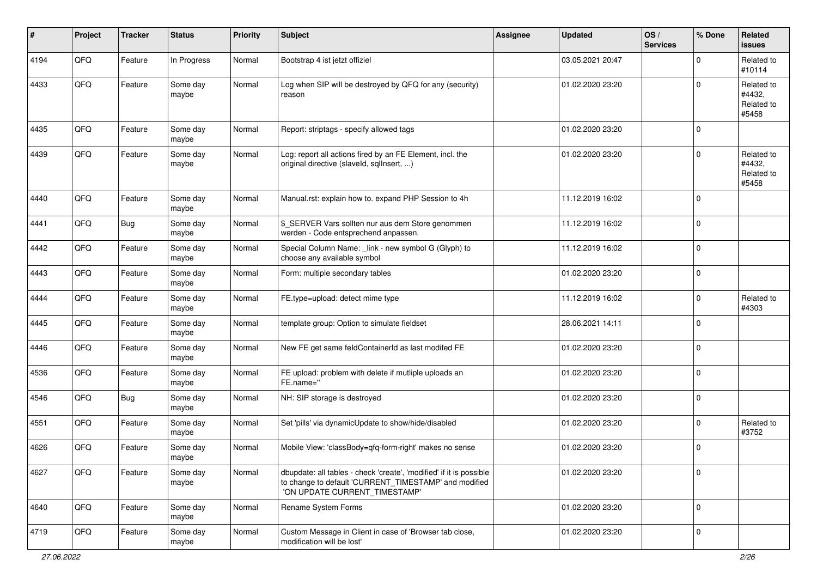| #    | Project | <b>Tracker</b> | <b>Status</b>     | <b>Priority</b> | <b>Subject</b>                                                                                                                                                | <b>Assignee</b> | <b>Updated</b>   | OS/<br><b>Services</b> | % Done      | Related<br><b>issues</b>                    |
|------|---------|----------------|-------------------|-----------------|---------------------------------------------------------------------------------------------------------------------------------------------------------------|-----------------|------------------|------------------------|-------------|---------------------------------------------|
| 4194 | QFQ     | Feature        | In Progress       | Normal          | Bootstrap 4 ist jetzt offiziel                                                                                                                                |                 | 03.05.2021 20:47 |                        | $\Omega$    | Related to<br>#10114                        |
| 4433 | QFQ     | Feature        | Some day<br>maybe | Normal          | Log when SIP will be destroyed by QFQ for any (security)<br>reason                                                                                            |                 | 01.02.2020 23:20 |                        | $\Omega$    | Related to<br>#4432,<br>Related to<br>#5458 |
| 4435 | QFQ     | Feature        | Some day<br>maybe | Normal          | Report: striptags - specify allowed tags                                                                                                                      |                 | 01.02.2020 23:20 |                        | $\mathbf 0$ |                                             |
| 4439 | QFQ     | Feature        | Some day<br>maybe | Normal          | Log: report all actions fired by an FE Element, incl. the<br>original directive (slaveld, sqllnsert, )                                                        |                 | 01.02.2020 23:20 |                        | $\mathbf 0$ | Related to<br>#4432,<br>Related to<br>#5458 |
| 4440 | QFQ     | Feature        | Some day<br>maybe | Normal          | Manual.rst: explain how to. expand PHP Session to 4h                                                                                                          |                 | 11.12.2019 16:02 |                        | $\mathbf 0$ |                                             |
| 4441 | QFQ     | <b>Bug</b>     | Some day<br>maybe | Normal          | \$_SERVER Vars sollten nur aus dem Store genommen<br>werden - Code entsprechend anpassen.                                                                     |                 | 11.12.2019 16:02 |                        | $\mathbf 0$ |                                             |
| 4442 | QFQ     | Feature        | Some day<br>maybe | Normal          | Special Column Name: _link - new symbol G (Glyph) to<br>choose any available symbol                                                                           |                 | 11.12.2019 16:02 |                        | $\mathbf 0$ |                                             |
| 4443 | QFQ     | Feature        | Some day<br>maybe | Normal          | Form: multiple secondary tables                                                                                                                               |                 | 01.02.2020 23:20 |                        | $\mathbf 0$ |                                             |
| 4444 | QFQ     | Feature        | Some day<br>maybe | Normal          | FE.type=upload: detect mime type                                                                                                                              |                 | 11.12.2019 16:02 |                        | $\mathbf 0$ | Related to<br>#4303                         |
| 4445 | QFQ     | Feature        | Some day<br>maybe | Normal          | template group: Option to simulate fieldset                                                                                                                   |                 | 28.06.2021 14:11 |                        | $\mathbf 0$ |                                             |
| 4446 | QFQ     | Feature        | Some day<br>maybe | Normal          | New FE get same feldContainerId as last modifed FE                                                                                                            |                 | 01.02.2020 23:20 |                        | $\Omega$    |                                             |
| 4536 | QFQ     | Feature        | Some day<br>maybe | Normal          | FE upload: problem with delete if mutliple uploads an<br>FE.name="                                                                                            |                 | 01.02.2020 23:20 |                        | $\mathbf 0$ |                                             |
| 4546 | QFQ     | <b>Bug</b>     | Some day<br>maybe | Normal          | NH: SIP storage is destroyed                                                                                                                                  |                 | 01.02.2020 23:20 |                        | $\mathbf 0$ |                                             |
| 4551 | QFQ     | Feature        | Some day<br>maybe | Normal          | Set 'pills' via dynamicUpdate to show/hide/disabled                                                                                                           |                 | 01.02.2020 23:20 |                        | $\mathbf 0$ | Related to<br>#3752                         |
| 4626 | QFQ     | Feature        | Some day<br>maybe | Normal          | Mobile View: 'classBody=qfq-form-right' makes no sense                                                                                                        |                 | 01.02.2020 23:20 |                        | 0           |                                             |
| 4627 | QFQ     | Feature        | Some day<br>maybe | Normal          | dbupdate: all tables - check 'create', 'modified' if it is possible<br>to change to default 'CURRENT_TIMESTAMP' and modified<br>'ON UPDATE CURRENT_TIMESTAMP' |                 | 01.02.2020 23:20 |                        | 0           |                                             |
| 4640 | QFQ     | Feature        | Some day<br>maybe | Normal          | Rename System Forms                                                                                                                                           |                 | 01.02.2020 23:20 |                        | $\mathbf 0$ |                                             |
| 4719 | QFG     | Feature        | Some day<br>maybe | Normal          | Custom Message in Client in case of 'Browser tab close,<br>modification will be lost'                                                                         |                 | 01.02.2020 23:20 |                        | 0           |                                             |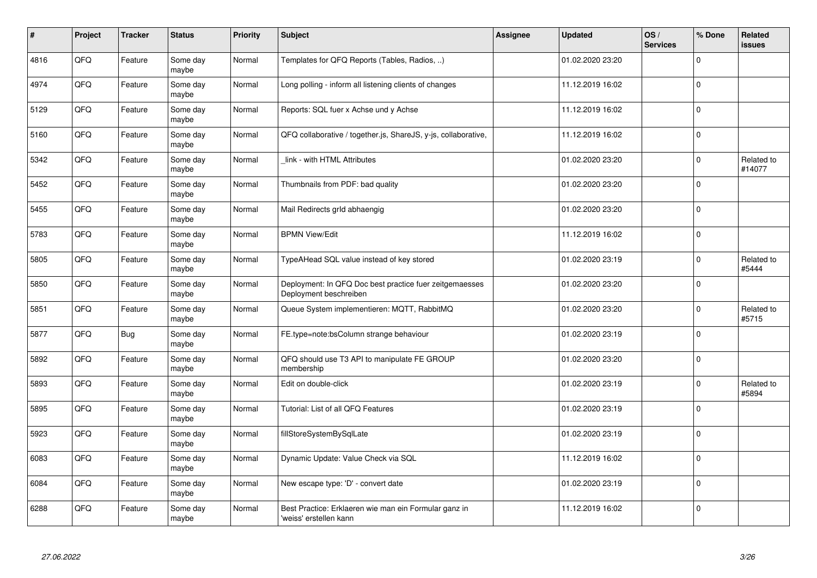| #    | Project | <b>Tracker</b> | <b>Status</b>     | <b>Priority</b> | <b>Subject</b>                                                                    | <b>Assignee</b> | <b>Updated</b>   | OS/<br><b>Services</b> | % Done      | Related<br><b>issues</b> |
|------|---------|----------------|-------------------|-----------------|-----------------------------------------------------------------------------------|-----------------|------------------|------------------------|-------------|--------------------------|
| 4816 | QFQ     | Feature        | Some day<br>maybe | Normal          | Templates for QFQ Reports (Tables, Radios, )                                      |                 | 01.02.2020 23:20 |                        | $\Omega$    |                          |
| 4974 | QFQ     | Feature        | Some day<br>maybe | Normal          | Long polling - inform all listening clients of changes                            |                 | 11.12.2019 16:02 |                        | $\Omega$    |                          |
| 5129 | QFQ     | Feature        | Some day<br>maybe | Normal          | Reports: SQL fuer x Achse und y Achse                                             |                 | 11.12.2019 16:02 |                        | $\Omega$    |                          |
| 5160 | QFQ     | Feature        | Some day<br>maybe | Normal          | QFQ collaborative / together.js, ShareJS, y-js, collaborative,                    |                 | 11.12.2019 16:02 |                        | $\Omega$    |                          |
| 5342 | QFQ     | Feature        | Some day<br>maybe | Normal          | link - with HTML Attributes                                                       |                 | 01.02.2020 23:20 |                        | $\Omega$    | Related to<br>#14077     |
| 5452 | QFQ     | Feature        | Some day<br>maybe | Normal          | Thumbnails from PDF: bad quality                                                  |                 | 01.02.2020 23:20 |                        | $\Omega$    |                          |
| 5455 | QFQ     | Feature        | Some day<br>maybe | Normal          | Mail Redirects grld abhaengig                                                     |                 | 01.02.2020 23:20 |                        | $\mathbf 0$ |                          |
| 5783 | QFQ     | Feature        | Some day<br>maybe | Normal          | <b>BPMN View/Edit</b>                                                             |                 | 11.12.2019 16:02 |                        | $\Omega$    |                          |
| 5805 | QFQ     | Feature        | Some day<br>maybe | Normal          | TypeAHead SQL value instead of key stored                                         |                 | 01.02.2020 23:19 |                        | $\Omega$    | Related to<br>#5444      |
| 5850 | QFQ     | Feature        | Some day<br>maybe | Normal          | Deployment: In QFQ Doc best practice fuer zeitgemaesses<br>Deployment beschreiben |                 | 01.02.2020 23:20 |                        | $\Omega$    |                          |
| 5851 | QFQ     | Feature        | Some day<br>maybe | Normal          | Queue System implementieren: MQTT, RabbitMQ                                       |                 | 01.02.2020 23:20 |                        | $\Omega$    | Related to<br>#5715      |
| 5877 | QFQ     | Bug            | Some day<br>maybe | Normal          | FE.type=note:bsColumn strange behaviour                                           |                 | 01.02.2020 23:19 |                        | $\mathbf 0$ |                          |
| 5892 | QFQ     | Feature        | Some day<br>maybe | Normal          | QFQ should use T3 API to manipulate FE GROUP<br>membership                        |                 | 01.02.2020 23:20 |                        | $\Omega$    |                          |
| 5893 | QFQ     | Feature        | Some day<br>maybe | Normal          | Edit on double-click                                                              |                 | 01.02.2020 23:19 |                        | $\Omega$    | Related to<br>#5894      |
| 5895 | QFQ     | Feature        | Some day<br>maybe | Normal          | Tutorial: List of all QFQ Features                                                |                 | 01.02.2020 23:19 |                        | $\Omega$    |                          |
| 5923 | QFQ     | Feature        | Some day<br>maybe | Normal          | fillStoreSystemBySqlLate                                                          |                 | 01.02.2020 23:19 |                        | $\Omega$    |                          |
| 6083 | QFQ     | Feature        | Some day<br>maybe | Normal          | Dynamic Update: Value Check via SQL                                               |                 | 11.12.2019 16:02 |                        | $\Omega$    |                          |
| 6084 | QFQ     | Feature        | Some day<br>maybe | Normal          | New escape type: 'D' - convert date                                               |                 | 01.02.2020 23:19 |                        | $\Omega$    |                          |
| 6288 | QFQ     | Feature        | Some day<br>maybe | Normal          | Best Practice: Erklaeren wie man ein Formular ganz in<br>'weiss' erstellen kann   |                 | 11.12.2019 16:02 |                        | $\Omega$    |                          |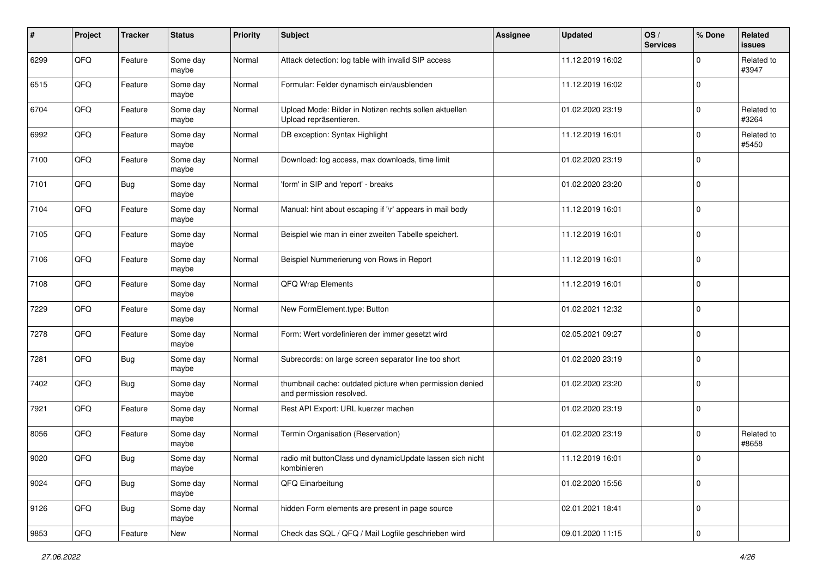| #    | Project | <b>Tracker</b> | <b>Status</b>     | <b>Priority</b> | <b>Subject</b>                                                                       | <b>Assignee</b> | <b>Updated</b>   | OS/<br><b>Services</b> | % Done      | Related<br><b>issues</b> |
|------|---------|----------------|-------------------|-----------------|--------------------------------------------------------------------------------------|-----------------|------------------|------------------------|-------------|--------------------------|
| 6299 | QFQ     | Feature        | Some day<br>maybe | Normal          | Attack detection: log table with invalid SIP access                                  |                 | 11.12.2019 16:02 |                        | 0           | Related to<br>#3947      |
| 6515 | QFQ     | Feature        | Some day<br>maybe | Normal          | Formular: Felder dynamisch ein/ausblenden                                            |                 | 11.12.2019 16:02 |                        | $\mathbf 0$ |                          |
| 6704 | QFQ     | Feature        | Some day<br>maybe | Normal          | Upload Mode: Bilder in Notizen rechts sollen aktuellen<br>Upload repräsentieren.     |                 | 01.02.2020 23:19 |                        | $\Omega$    | Related to<br>#3264      |
| 6992 | QFQ     | Feature        | Some day<br>maybe | Normal          | DB exception: Syntax Highlight                                                       |                 | 11.12.2019 16:01 |                        | $\mathbf 0$ | Related to<br>#5450      |
| 7100 | QFQ     | Feature        | Some day<br>maybe | Normal          | Download: log access, max downloads, time limit                                      |                 | 01.02.2020 23:19 |                        | $\mathbf 0$ |                          |
| 7101 | QFQ     | Bug            | Some day<br>maybe | Normal          | 'form' in SIP and 'report' - breaks                                                  |                 | 01.02.2020 23:20 |                        | $\Omega$    |                          |
| 7104 | QFQ     | Feature        | Some day<br>maybe | Normal          | Manual: hint about escaping if '\r' appears in mail body                             |                 | 11.12.2019 16:01 |                        | $\Omega$    |                          |
| 7105 | QFQ     | Feature        | Some day<br>maybe | Normal          | Beispiel wie man in einer zweiten Tabelle speichert.                                 |                 | 11.12.2019 16:01 |                        | $\Omega$    |                          |
| 7106 | QFQ     | Feature        | Some day<br>maybe | Normal          | Beispiel Nummerierung von Rows in Report                                             |                 | 11.12.2019 16:01 |                        | $\mathbf 0$ |                          |
| 7108 | QFQ     | Feature        | Some day<br>maybe | Normal          | QFQ Wrap Elements                                                                    |                 | 11.12.2019 16:01 |                        | $\Omega$    |                          |
| 7229 | QFQ     | Feature        | Some day<br>maybe | Normal          | New FormElement.type: Button                                                         |                 | 01.02.2021 12:32 |                        | $\mathbf 0$ |                          |
| 7278 | QFQ     | Feature        | Some day<br>maybe | Normal          | Form: Wert vordefinieren der immer gesetzt wird                                      |                 | 02.05.2021 09:27 |                        | $\Omega$    |                          |
| 7281 | QFQ     | Bug            | Some day<br>maybe | Normal          | Subrecords: on large screen separator line too short                                 |                 | 01.02.2020 23:19 |                        | $\Omega$    |                          |
| 7402 | QFQ     | Bug            | Some day<br>maybe | Normal          | thumbnail cache: outdated picture when permission denied<br>and permission resolved. |                 | 01.02.2020 23:20 |                        | $\Omega$    |                          |
| 7921 | QFQ     | Feature        | Some day<br>maybe | Normal          | Rest API Export: URL kuerzer machen                                                  |                 | 01.02.2020 23:19 |                        | $\mathbf 0$ |                          |
| 8056 | QFQ     | Feature        | Some day<br>maybe | Normal          | Termin Organisation (Reservation)                                                    |                 | 01.02.2020 23:19 |                        | $\Omega$    | Related to<br>#8658      |
| 9020 | QFQ     | <b>Bug</b>     | Some day<br>maybe | Normal          | radio mit buttonClass und dynamicUpdate lassen sich nicht<br>kombinieren             |                 | 11.12.2019 16:01 |                        | $\Omega$    |                          |
| 9024 | QFQ     | Bug            | Some day<br>maybe | Normal          | QFQ Einarbeitung                                                                     |                 | 01.02.2020 15:56 |                        | $\mathbf 0$ |                          |
| 9126 | QFQ     | <b>Bug</b>     | Some day<br>maybe | Normal          | hidden Form elements are present in page source                                      |                 | 02.01.2021 18:41 |                        | $\mathbf 0$ |                          |
| 9853 | QFG     | Feature        | New               | Normal          | Check das SQL / QFQ / Mail Logfile geschrieben wird                                  |                 | 09.01.2020 11:15 |                        | $\mathbf 0$ |                          |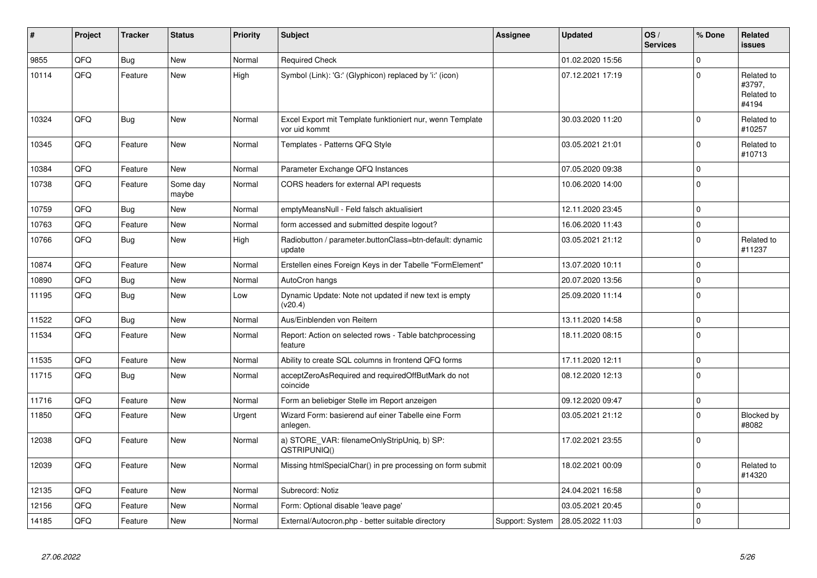| ∦     | Project    | <b>Tracker</b> | <b>Status</b>     | <b>Priority</b> | <b>Subject</b>                                                             | Assignee        | <b>Updated</b>   | OS/<br><b>Services</b> | % Done      | Related<br><b>issues</b>                    |
|-------|------------|----------------|-------------------|-----------------|----------------------------------------------------------------------------|-----------------|------------------|------------------------|-------------|---------------------------------------------|
| 9855  | QFQ        | Bug            | <b>New</b>        | Normal          | <b>Required Check</b>                                                      |                 | 01.02.2020 15:56 |                        | $\Omega$    |                                             |
| 10114 | QFQ        | Feature        | <b>New</b>        | High            | Symbol (Link): 'G:' (Glyphicon) replaced by 'i:' (icon)                    |                 | 07.12.2021 17:19 |                        | $\Omega$    | Related to<br>#3797,<br>Related to<br>#4194 |
| 10324 | QFQ        | <b>Bug</b>     | <b>New</b>        | Normal          | Excel Export mit Template funktioniert nur, wenn Template<br>vor uid kommt |                 | 30.03.2020 11:20 |                        | $\Omega$    | Related to<br>#10257                        |
| 10345 | QFQ        | Feature        | <b>New</b>        | Normal          | Templates - Patterns QFQ Style                                             |                 | 03.05.2021 21:01 |                        | $\Omega$    | Related to<br>#10713                        |
| 10384 | QFQ        | Feature        | <b>New</b>        | Normal          | Parameter Exchange QFQ Instances                                           |                 | 07.05.2020 09:38 |                        | $\Omega$    |                                             |
| 10738 | QFQ        | Feature        | Some day<br>maybe | Normal          | CORS headers for external API requests                                     |                 | 10.06.2020 14:00 |                        | $\Omega$    |                                             |
| 10759 | QFQ        | <b>Bug</b>     | <b>New</b>        | Normal          | emptyMeansNull - Feld falsch aktualisiert                                  |                 | 12.11.2020 23:45 |                        | $\Omega$    |                                             |
| 10763 | QFQ        | Feature        | <b>New</b>        | Normal          | form accessed and submitted despite logout?                                |                 | 16.06.2020 11:43 |                        | $\mathbf 0$ |                                             |
| 10766 | QFQ        | <b>Bug</b>     | New               | High            | Radiobutton / parameter.buttonClass=btn-default: dynamic<br>update         |                 | 03.05.2021 21:12 |                        | $\Omega$    | Related to<br>#11237                        |
| 10874 | QFQ        | Feature        | <b>New</b>        | Normal          | Erstellen eines Foreign Keys in der Tabelle "FormElement"                  |                 | 13.07.2020 10:11 |                        | $\Omega$    |                                             |
| 10890 | QFQ        | <b>Bug</b>     | <b>New</b>        | Normal          | AutoCron hangs                                                             |                 | 20.07.2020 13:56 |                        | $\Omega$    |                                             |
| 11195 | QFQ        | <b>Bug</b>     | <b>New</b>        | Low             | Dynamic Update: Note not updated if new text is empty<br>(v20.4)           |                 | 25.09.2020 11:14 |                        | $\Omega$    |                                             |
| 11522 | QFQ        | <b>Bug</b>     | <b>New</b>        | Normal          | Aus/Einblenden von Reitern                                                 |                 | 13.11.2020 14:58 |                        | $\Omega$    |                                             |
| 11534 | QFQ        | Feature        | <b>New</b>        | Normal          | Report: Action on selected rows - Table batchprocessing<br>feature         |                 | 18.11.2020 08:15 |                        | $\mathbf 0$ |                                             |
| 11535 | QFQ        | Feature        | <b>New</b>        | Normal          | Ability to create SQL columns in frontend QFQ forms                        |                 | 17.11.2020 12:11 |                        | $\mathbf 0$ |                                             |
| 11715 | QFQ        | <b>Bug</b>     | <b>New</b>        | Normal          | acceptZeroAsRequired and requiredOffButMark do not<br>coincide             |                 | 08.12.2020 12:13 |                        | $\Omega$    |                                             |
| 11716 | <b>OFO</b> | Feature        | <b>New</b>        | Normal          | Form an beliebiger Stelle im Report anzeigen                               |                 | 09.12.2020 09:47 |                        | $\Omega$    |                                             |
| 11850 | QFQ        | Feature        | <b>New</b>        | Urgent          | Wizard Form: basierend auf einer Tabelle eine Form<br>anlegen.             |                 | 03.05.2021 21:12 |                        | $\Omega$    | Blocked by<br>#8082                         |
| 12038 | QFQ        | Feature        | <b>New</b>        | Normal          | a) STORE_VAR: filenameOnlyStripUniq, b) SP:<br>QSTRIPUNIQ()                |                 | 17.02.2021 23:55 |                        | $\Omega$    |                                             |
| 12039 | QFQ        | Feature        | <b>New</b>        | Normal          | Missing htmlSpecialChar() in pre processing on form submit                 |                 | 18.02.2021 00:09 |                        | $\Omega$    | Related to<br>#14320                        |
| 12135 | QFQ        | Feature        | <b>New</b>        | Normal          | Subrecord: Notiz                                                           |                 | 24.04.2021 16:58 |                        | $\Omega$    |                                             |
| 12156 | QFQ        | Feature        | New               | Normal          | Form: Optional disable 'leave page'                                        |                 | 03.05.2021 20:45 |                        | $\mathbf 0$ |                                             |
| 14185 | QFQ        | Feature        | <b>New</b>        | Normal          | External/Autocron.php - better suitable directory                          | Support: System | 28.05.2022 11:03 |                        | $\Omega$    |                                             |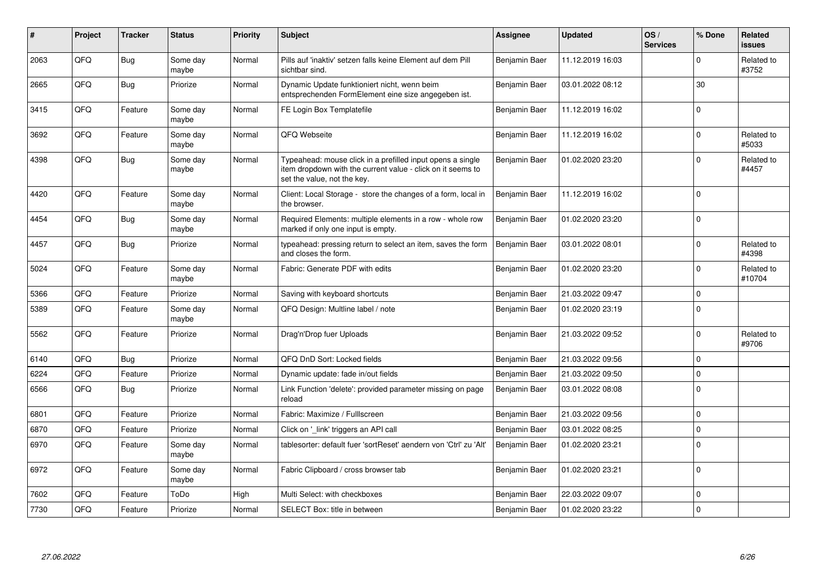| ∦    | Project | <b>Tracker</b> | <b>Status</b>     | Priority | <b>Subject</b>                                                                                                                                           | <b>Assignee</b> | <b>Updated</b>   | OS/<br><b>Services</b> | % Done       | Related<br><b>issues</b> |
|------|---------|----------------|-------------------|----------|----------------------------------------------------------------------------------------------------------------------------------------------------------|-----------------|------------------|------------------------|--------------|--------------------------|
| 2063 | QFQ     | Bug            | Some day<br>maybe | Normal   | Pills auf 'inaktiv' setzen falls keine Element auf dem Pill<br>sichtbar sind.                                                                            | Benjamin Baer   | 11.12.2019 16:03 |                        | <sup>n</sup> | Related to<br>#3752      |
| 2665 | QFQ     | Bug            | Priorize          | Normal   | Dynamic Update funktioniert nicht, wenn beim<br>entsprechenden FormElement eine size angegeben ist.                                                      | Benjamin Baer   | 03.01.2022 08:12 |                        | 30           |                          |
| 3415 | QFQ     | Feature        | Some day<br>maybe | Normal   | FE Login Box Templatefile                                                                                                                                | Benjamin Baer   | 11.12.2019 16:02 |                        | $\Omega$     |                          |
| 3692 | QFQ     | Feature        | Some day<br>maybe | Normal   | QFQ Webseite                                                                                                                                             | Benjamin Baer   | 11.12.2019 16:02 |                        | $\Omega$     | Related to<br>#5033      |
| 4398 | QFQ     | Bug            | Some day<br>maybe | Normal   | Typeahead: mouse click in a prefilled input opens a single<br>item dropdown with the current value - click on it seems to<br>set the value, not the key. | Benjamin Baer   | 01.02.2020 23:20 |                        | 0            | Related to<br>#4457      |
| 4420 | QFQ     | Feature        | Some day<br>maybe | Normal   | Client: Local Storage - store the changes of a form, local in<br>the browser.                                                                            | Benjamin Baer   | 11.12.2019 16:02 |                        | $\mathbf 0$  |                          |
| 4454 | QFQ     | <b>Bug</b>     | Some day<br>maybe | Normal   | Required Elements: multiple elements in a row - whole row<br>marked if only one input is empty.                                                          | Benjamin Baer   | 01.02.2020 23:20 |                        | $\Omega$     |                          |
| 4457 | QFQ     | Bug            | Priorize          | Normal   | typeahead: pressing return to select an item, saves the form<br>and closes the form.                                                                     | Benjamin Baer   | 03.01.2022 08:01 |                        | $\Omega$     | Related to<br>#4398      |
| 5024 | QFQ     | Feature        | Some day<br>maybe | Normal   | Fabric: Generate PDF with edits                                                                                                                          | Benjamin Baer   | 01.02.2020 23:20 |                        | $\Omega$     | Related to<br>#10704     |
| 5366 | QFQ     | Feature        | Priorize          | Normal   | Saving with keyboard shortcuts                                                                                                                           | Benjamin Baer   | 21.03.2022 09:47 |                        | 0            |                          |
| 5389 | QFQ     | Feature        | Some day<br>maybe | Normal   | QFQ Design: Multline label / note                                                                                                                        | Benjamin Baer   | 01.02.2020 23:19 |                        | $\Omega$     |                          |
| 5562 | QFQ     | Feature        | Priorize          | Normal   | Drag'n'Drop fuer Uploads                                                                                                                                 | Benjamin Baer   | 21.03.2022 09:52 |                        | $\Omega$     | Related to<br>#9706      |
| 6140 | QFQ     | Bug            | Priorize          | Normal   | QFQ DnD Sort: Locked fields                                                                                                                              | Benjamin Baer   | 21.03.2022 09:56 |                        | $\mathbf 0$  |                          |
| 6224 | QFQ     | Feature        | Priorize          | Normal   | Dynamic update: fade in/out fields                                                                                                                       | Benjamin Baer   | 21.03.2022 09:50 |                        | $\Omega$     |                          |
| 6566 | QFQ     | Bug            | Priorize          | Normal   | Link Function 'delete': provided parameter missing on page<br>reload                                                                                     | Benjamin Baer   | 03.01.2022 08:08 |                        | $\Omega$     |                          |
| 6801 | QFQ     | Feature        | Priorize          | Normal   | Fabric: Maximize / Fulllscreen                                                                                                                           | Benjamin Baer   | 21.03.2022 09:56 |                        | $\Omega$     |                          |
| 6870 | QFQ     | Feature        | Priorize          | Normal   | Click on '_link' triggers an API call                                                                                                                    | Benjamin Baer   | 03.01.2022 08:25 |                        | $\mathbf 0$  |                          |
| 6970 | QFQ     | Feature        | Some day<br>maybe | Normal   | tablesorter: default fuer 'sortReset' aendern von 'Ctrl' zu 'Alt'                                                                                        | Benjamin Baer   | 01.02.2020 23:21 |                        | $\Omega$     |                          |
| 6972 | QFQ     | Feature        | Some day<br>maybe | Normal   | Fabric Clipboard / cross browser tab                                                                                                                     | Benjamin Baer   | 01.02.2020 23:21 |                        | $\Omega$     |                          |
| 7602 | QFQ     | Feature        | ToDo              | High     | Multi Select: with checkboxes                                                                                                                            | Benjamin Baer   | 22.03.2022 09:07 |                        | $\Omega$     |                          |
| 7730 | QFQ     | Feature        | Priorize          | Normal   | SELECT Box: title in between                                                                                                                             | Benjamin Baer   | 01.02.2020 23:22 |                        | $\Omega$     |                          |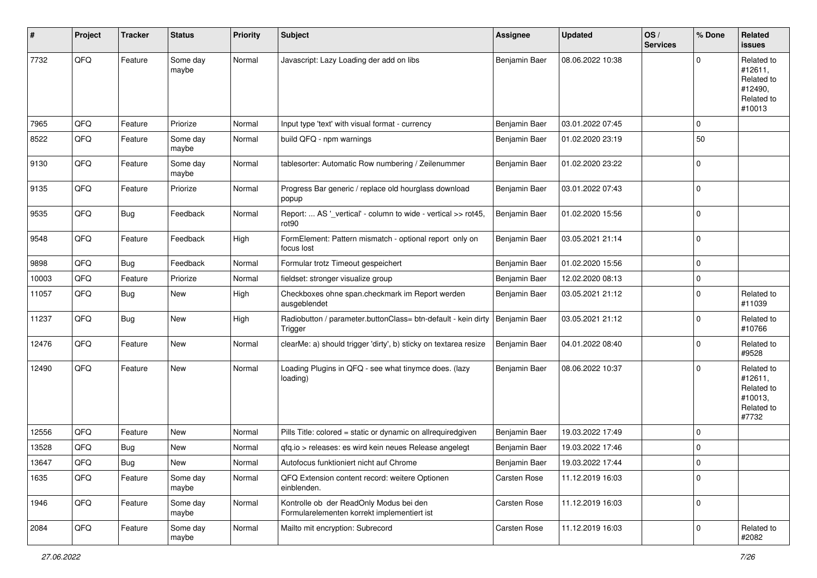| #     | Project | <b>Tracker</b> | <b>Status</b>     | <b>Priority</b> | <b>Subject</b>                                                                         | <b>Assignee</b> | <b>Updated</b>   | OS/<br><b>Services</b> | % Done      | Related<br>issues                                                      |
|-------|---------|----------------|-------------------|-----------------|----------------------------------------------------------------------------------------|-----------------|------------------|------------------------|-------------|------------------------------------------------------------------------|
| 7732  | QFQ     | Feature        | Some day<br>maybe | Normal          | Javascript: Lazy Loading der add on libs                                               | Benjamin Baer   | 08.06.2022 10:38 |                        | 0           | Related to<br>#12611,<br>Related to<br>#12490,<br>Related to<br>#10013 |
| 7965  | QFQ     | Feature        | Priorize          | Normal          | Input type 'text' with visual format - currency                                        | Benjamin Baer   | 03.01.2022 07:45 |                        | 0           |                                                                        |
| 8522  | QFQ     | Feature        | Some day<br>maybe | Normal          | build QFQ - npm warnings                                                               | Benjamin Baer   | 01.02.2020 23:19 |                        | 50          |                                                                        |
| 9130  | QFQ     | Feature        | Some day<br>maybe | Normal          | tablesorter: Automatic Row numbering / Zeilenummer                                     | Benjamin Baer   | 01.02.2020 23:22 |                        | $\Omega$    |                                                                        |
| 9135  | QFQ     | Feature        | Priorize          | Normal          | Progress Bar generic / replace old hourglass download<br>popup                         | Benjamin Baer   | 03.01.2022 07:43 |                        | $\Omega$    |                                                                        |
| 9535  | QFQ     | Bug            | Feedback          | Normal          | Report:  AS '_vertical' - column to wide - vertical >> rot45,<br>rot <sub>90</sub>     | Benjamin Baer   | 01.02.2020 15:56 |                        | $\Omega$    |                                                                        |
| 9548  | QFQ     | Feature        | Feedback          | High            | FormElement: Pattern mismatch - optional report only on<br>focus lost                  | Benjamin Baer   | 03.05.2021 21:14 |                        | $\Omega$    |                                                                        |
| 9898  | QFQ     | Bug            | Feedback          | Normal          | Formular trotz Timeout gespeichert                                                     | Benjamin Baer   | 01.02.2020 15:56 |                        | $\mathbf 0$ |                                                                        |
| 10003 | QFQ     | Feature        | Priorize          | Normal          | fieldset: stronger visualize group                                                     | Benjamin Baer   | 12.02.2020 08:13 |                        | 0           |                                                                        |
| 11057 | QFQ     | Bug            | New               | High            | Checkboxes ohne span.checkmark im Report werden<br>ausgeblendet                        | Benjamin Baer   | 03.05.2021 21:12 |                        | $\Omega$    | Related to<br>#11039                                                   |
| 11237 | QFQ     | <b>Bug</b>     | New               | High            | Radiobutton / parameter.buttonClass= btn-default - kein dirty<br>Trigger               | Benjamin Baer   | 03.05.2021 21:12 |                        | 0           | Related to<br>#10766                                                   |
| 12476 | QFQ     | Feature        | New               | Normal          | clearMe: a) should trigger 'dirty', b) sticky on textarea resize                       | Benjamin Baer   | 04.01.2022 08:40 |                        | $\Omega$    | Related to<br>#9528                                                    |
| 12490 | QFQ     | Feature        | New               | Normal          | Loading Plugins in QFQ - see what tinymce does. (lazy<br>loading)                      | Benjamin Baer   | 08.06.2022 10:37 |                        | $\Omega$    | Related to<br>#12611,<br>Related to<br>#10013,<br>Related to<br>#7732  |
| 12556 | QFQ     | Feature        | <b>New</b>        | Normal          | Pills Title: colored = static or dynamic on allrequiredgiven                           | Benjamin Baer   | 19.03.2022 17:49 |                        | $\Omega$    |                                                                        |
| 13528 | QFQ     | Bug            | <b>New</b>        | Normal          | gfg.io > releases: es wird kein neues Release angelegt                                 | Benjamin Baer   | 19.03.2022 17:46 |                        | $\Omega$    |                                                                        |
| 13647 | QFG     | Bug            | New               | Normal          | Autofocus funktioniert nicht auf Chrome                                                | Benjamin Baer   | 19.03.2022 17:44 |                        | $\pmb{0}$   |                                                                        |
| 1635  | QFQ     | Feature        | Some day<br>maybe | Normal          | QFQ Extension content record: weitere Optionen<br>einblenden.                          | Carsten Rose    | 11.12.2019 16:03 |                        | $\Omega$    |                                                                        |
| 1946  | QFQ     | Feature        | Some day<br>maybe | Normal          | Kontrolle ob der ReadOnly Modus bei den<br>Formularelementen korrekt implementiert ist | Carsten Rose    | 11.12.2019 16:03 |                        | $\mathbf 0$ |                                                                        |
| 2084  | QFQ     | Feature        | Some day<br>maybe | Normal          | Mailto mit encryption: Subrecord                                                       | Carsten Rose    | 11.12.2019 16:03 |                        | 0           | Related to<br>#2082                                                    |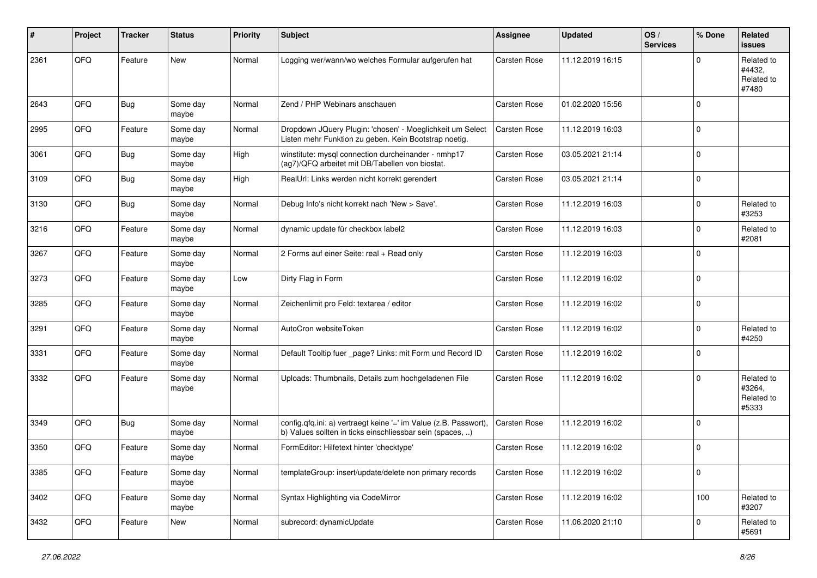| #    | Project | <b>Tracker</b> | <b>Status</b>     | <b>Priority</b> | <b>Subject</b>                                                                                                                | <b>Assignee</b>     | <b>Updated</b>   | OS/<br><b>Services</b> | % Done      | Related<br><b>issues</b>                    |
|------|---------|----------------|-------------------|-----------------|-------------------------------------------------------------------------------------------------------------------------------|---------------------|------------------|------------------------|-------------|---------------------------------------------|
| 2361 | QFQ     | Feature        | <b>New</b>        | Normal          | Logging wer/wann/wo welches Formular aufgerufen hat                                                                           | Carsten Rose        | 11.12.2019 16:15 |                        | $\Omega$    | Related to<br>#4432,<br>Related to<br>#7480 |
| 2643 | QFQ     | Bug            | Some day<br>maybe | Normal          | Zend / PHP Webinars anschauen                                                                                                 | Carsten Rose        | 01.02.2020 15:56 |                        | $\Omega$    |                                             |
| 2995 | QFQ     | Feature        | Some day<br>maybe | Normal          | Dropdown JQuery Plugin: 'chosen' - Moeglichkeit um Select<br>Listen mehr Funktion zu geben. Kein Bootstrap noetig.            | <b>Carsten Rose</b> | 11.12.2019 16:03 |                        | $\Omega$    |                                             |
| 3061 | QFQ     | Bug            | Some day<br>maybe | High            | winstitute: mysql connection durcheinander - nmhp17<br>(ag7)/QFQ arbeitet mit DB/Tabellen von biostat.                        | <b>Carsten Rose</b> | 03.05.2021 21:14 |                        | $\mathbf 0$ |                                             |
| 3109 | QFQ     | Bug            | Some day<br>maybe | High            | RealUrl: Links werden nicht korrekt gerendert                                                                                 | <b>Carsten Rose</b> | 03.05.2021 21:14 |                        | $\Omega$    |                                             |
| 3130 | QFQ     | Bug            | Some day<br>maybe | Normal          | Debug Info's nicht korrekt nach 'New > Save'.                                                                                 | <b>Carsten Rose</b> | 11.12.2019 16:03 |                        | $\Omega$    | Related to<br>#3253                         |
| 3216 | QFQ     | Feature        | Some day<br>maybe | Normal          | dynamic update für checkbox label2                                                                                            | <b>Carsten Rose</b> | 11.12.2019 16:03 |                        | $\Omega$    | Related to<br>#2081                         |
| 3267 | QFQ     | Feature        | Some day<br>maybe | Normal          | 2 Forms auf einer Seite: real + Read only                                                                                     | <b>Carsten Rose</b> | 11.12.2019 16:03 |                        | $\mathbf 0$ |                                             |
| 3273 | QFQ     | Feature        | Some day<br>maybe | Low             | Dirty Flag in Form                                                                                                            | Carsten Rose        | 11.12.2019 16:02 |                        | $\Omega$    |                                             |
| 3285 | QFQ     | Feature        | Some day<br>maybe | Normal          | Zeichenlimit pro Feld: textarea / editor                                                                                      | Carsten Rose        | 11.12.2019 16:02 |                        | $\mathbf 0$ |                                             |
| 3291 | QFQ     | Feature        | Some day<br>maybe | Normal          | AutoCron websiteToken                                                                                                         | <b>Carsten Rose</b> | 11.12.2019 16:02 |                        | $\mathbf 0$ | Related to<br>#4250                         |
| 3331 | QFQ     | Feature        | Some day<br>maybe | Normal          | Default Tooltip fuer _page? Links: mit Form und Record ID                                                                     | <b>Carsten Rose</b> | 11.12.2019 16:02 |                        | $\mathbf 0$ |                                             |
| 3332 | QFQ     | Feature        | Some day<br>maybe | Normal          | Uploads: Thumbnails, Details zum hochgeladenen File                                                                           | <b>Carsten Rose</b> | 11.12.2019 16:02 |                        | $\Omega$    | Related to<br>#3264,<br>Related to<br>#5333 |
| 3349 | QFQ     | Bug            | Some day<br>maybe | Normal          | config.qfq.ini: a) vertraegt keine '=' im Value (z.B. Passwort),<br>b) Values sollten in ticks einschliessbar sein (spaces, ) | <b>Carsten Rose</b> | 11.12.2019 16:02 |                        | $\Omega$    |                                             |
| 3350 | QFQ     | Feature        | Some day<br>maybe | Normal          | FormEditor: Hilfetext hinter 'checktype'                                                                                      | Carsten Rose        | 11.12.2019 16:02 |                        | $\Omega$    |                                             |
| 3385 | QFG     | Feature        | Some day<br>maybe | Normal          | templateGroup: insert/update/delete non primary records                                                                       | Carsten Rose        | 11.12.2019 16:02 |                        | 0           |                                             |
| 3402 | QFG     | Feature        | Some day<br>maybe | Normal          | Syntax Highlighting via CodeMirror                                                                                            | Carsten Rose        | 11.12.2019 16:02 |                        | 100         | Related to<br>#3207                         |
| 3432 | QFG     | Feature        | New               | Normal          | subrecord: dynamicUpdate                                                                                                      | Carsten Rose        | 11.06.2020 21:10 |                        | $\mathbf 0$ | Related to<br>#5691                         |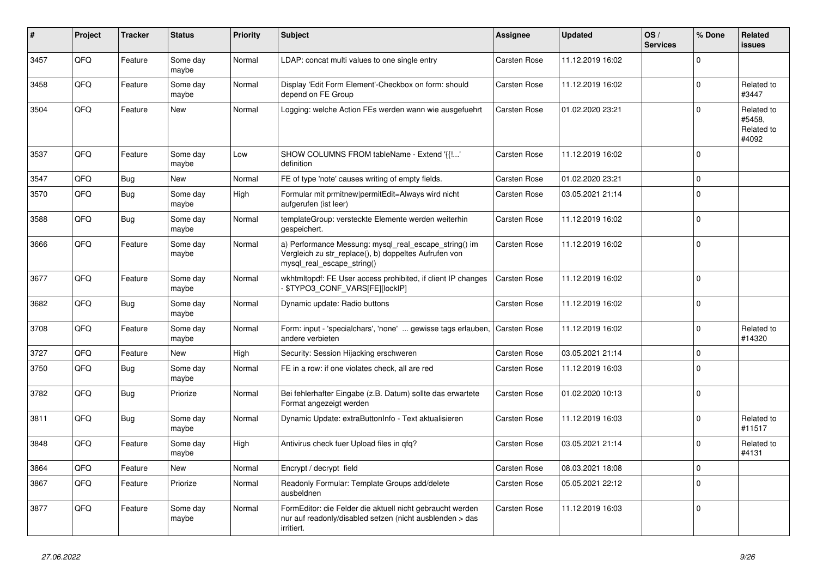| ∦    | Project | <b>Tracker</b> | <b>Status</b>     | <b>Priority</b> | <b>Subject</b>                                                                                                                               | <b>Assignee</b>     | <b>Updated</b>   | OS/<br><b>Services</b> | % Done   | <b>Related</b><br><b>issues</b>             |
|------|---------|----------------|-------------------|-----------------|----------------------------------------------------------------------------------------------------------------------------------------------|---------------------|------------------|------------------------|----------|---------------------------------------------|
| 3457 | QFQ     | Feature        | Some day<br>maybe | Normal          | LDAP: concat multi values to one single entry                                                                                                | <b>Carsten Rose</b> | 11.12.2019 16:02 |                        | $\Omega$ |                                             |
| 3458 | QFQ     | Feature        | Some day<br>maybe | Normal          | Display 'Edit Form Element'-Checkbox on form: should<br>depend on FE Group                                                                   | <b>Carsten Rose</b> | 11.12.2019 16:02 |                        | $\Omega$ | Related to<br>#3447                         |
| 3504 | QFQ     | Feature        | New               | Normal          | Logging: welche Action FEs werden wann wie ausgefuehrt                                                                                       | Carsten Rose        | 01.02.2020 23:21 |                        | $\Omega$ | Related to<br>#5458,<br>Related to<br>#4092 |
| 3537 | QFQ     | Feature        | Some day<br>maybe | Low             | SHOW COLUMNS FROM tableName - Extend '{{!'<br>definition                                                                                     | <b>Carsten Rose</b> | 11.12.2019 16:02 |                        | $\Omega$ |                                             |
| 3547 | QFQ     | Bug            | <b>New</b>        | Normal          | FE of type 'note' causes writing of empty fields.                                                                                            | <b>Carsten Rose</b> | 01.02.2020 23:21 |                        | $\Omega$ |                                             |
| 3570 | QFQ     | Bug            | Some day<br>maybe | High            | Formular mit prmitnew permitEdit=Always wird nicht<br>aufgerufen (ist leer)                                                                  | <b>Carsten Rose</b> | 03.05.2021 21:14 |                        | $\Omega$ |                                             |
| 3588 | QFQ     | <b>Bug</b>     | Some day<br>maybe | Normal          | templateGroup: versteckte Elemente werden weiterhin<br>gespeichert.                                                                          | Carsten Rose        | 11.12.2019 16:02 |                        | $\Omega$ |                                             |
| 3666 | QFQ     | Feature        | Some day<br>maybe | Normal          | a) Performance Messung: mysql_real_escape_string() im<br>Vergleich zu str_replace(), b) doppeltes Aufrufen von<br>mysql_real_escape_string() | Carsten Rose        | 11.12.2019 16:02 |                        | $\Omega$ |                                             |
| 3677 | QFQ     | Feature        | Some day<br>maybe | Normal          | wkhtmltopdf: FE User access prohibited, if client IP changes<br>\$TYPO3_CONF_VARS[FE][lockIP]                                                | <b>Carsten Rose</b> | 11.12.2019 16:02 |                        | $\Omega$ |                                             |
| 3682 | QFQ     | Bug            | Some day<br>maybe | Normal          | Dynamic update: Radio buttons                                                                                                                | Carsten Rose        | 11.12.2019 16:02 |                        | $\Omega$ |                                             |
| 3708 | QFQ     | Feature        | Some day<br>maybe | Normal          | Form: input - 'specialchars', 'none'  gewisse tags erlauben.<br>andere verbieten                                                             | <b>Carsten Rose</b> | 11.12.2019 16:02 |                        | $\Omega$ | Related to<br>#14320                        |
| 3727 | QFQ     | Feature        | New               | High            | Security: Session Hijacking erschweren                                                                                                       | <b>Carsten Rose</b> | 03.05.2021 21:14 |                        | $\Omega$ |                                             |
| 3750 | QFQ     | Bug            | Some day<br>maybe | Normal          | FE in a row: if one violates check, all are red                                                                                              | <b>Carsten Rose</b> | 11.12.2019 16:03 |                        | $\Omega$ |                                             |
| 3782 | QFQ     | Bug            | Priorize          | Normal          | Bei fehlerhafter Eingabe (z.B. Datum) sollte das erwartete<br>Format angezeigt werden                                                        | <b>Carsten Rose</b> | 01.02.2020 10:13 |                        | $\Omega$ |                                             |
| 3811 | QFQ     | Bug            | Some day<br>maybe | Normal          | Dynamic Update: extraButtonInfo - Text aktualisieren                                                                                         | <b>Carsten Rose</b> | 11.12.2019 16:03 |                        | 0        | Related to<br>#11517                        |
| 3848 | QFQ     | Feature        | Some day<br>maybe | High            | Antivirus check fuer Upload files in qfq?                                                                                                    | <b>Carsten Rose</b> | 03.05.2021 21:14 |                        | $\Omega$ | Related to<br>#4131                         |
| 3864 | QFQ     | Feature        | New               | Normal          | Encrypt / decrypt field                                                                                                                      | Carsten Rose        | 08.03.2021 18:08 |                        | $\Omega$ |                                             |
| 3867 | QFQ     | Feature        | Priorize          | Normal          | Readonly Formular: Template Groups add/delete<br>ausbeldnen                                                                                  | Carsten Rose        | 05.05.2021 22:12 |                        | $\Omega$ |                                             |
| 3877 | QFQ     | Feature        | Some day<br>maybe | Normal          | FormEditor: die Felder die aktuell nicht gebraucht werden<br>nur auf readonly/disabled setzen (nicht ausblenden > das<br>irritiert.          | <b>Carsten Rose</b> | 11.12.2019 16:03 |                        | $\Omega$ |                                             |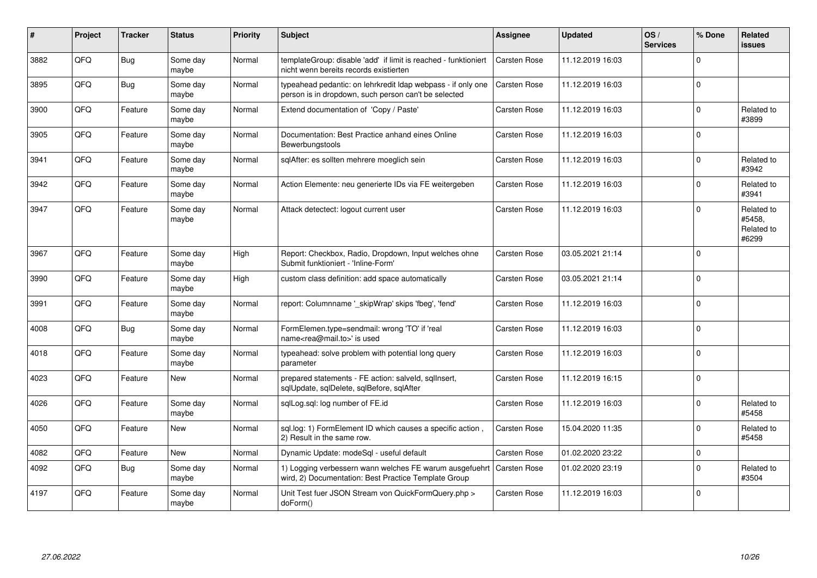| #    | Project | <b>Tracker</b> | <b>Status</b>     | <b>Priority</b> | <b>Subject</b>                                                                                                       | <b>Assignee</b>     | <b>Updated</b>   | OS/<br><b>Services</b> | % Done   | Related<br><b>issues</b>                    |
|------|---------|----------------|-------------------|-----------------|----------------------------------------------------------------------------------------------------------------------|---------------------|------------------|------------------------|----------|---------------------------------------------|
| 3882 | QFQ     | Bug            | Some day<br>maybe | Normal          | templateGroup: disable 'add' if limit is reached - funktioniert<br>nicht wenn bereits records existierten            | <b>Carsten Rose</b> | 11.12.2019 16:03 |                        | $\Omega$ |                                             |
| 3895 | QFQ     | <b>Bug</b>     | Some day<br>maybe | Normal          | typeahead pedantic: on lehrkredit Idap webpass - if only one<br>person is in dropdown, such person can't be selected | Carsten Rose        | 11.12.2019 16:03 |                        | $\Omega$ |                                             |
| 3900 | QFQ     | Feature        | Some day<br>maybe | Normal          | Extend documentation of 'Copy / Paste'                                                                               | <b>Carsten Rose</b> | 11.12.2019 16:03 |                        | $\Omega$ | Related to<br>#3899                         |
| 3905 | QFQ     | Feature        | Some day<br>maybe | Normal          | Documentation: Best Practice anhand eines Online<br>Bewerbungstools                                                  | <b>Carsten Rose</b> | 11.12.2019 16:03 |                        | $\Omega$ |                                             |
| 3941 | QFQ     | Feature        | Some day<br>maybe | Normal          | sqlAfter: es sollten mehrere moeglich sein                                                                           | Carsten Rose        | 11.12.2019 16:03 |                        | $\Omega$ | Related to<br>#3942                         |
| 3942 | QFQ     | Feature        | Some day<br>maybe | Normal          | Action Elemente: neu generierte IDs via FE weitergeben                                                               | <b>Carsten Rose</b> | 11.12.2019 16:03 |                        | $\Omega$ | Related to<br>#3941                         |
| 3947 | QFQ     | Feature        | Some day<br>maybe | Normal          | Attack detectect: logout current user                                                                                | <b>Carsten Rose</b> | 11.12.2019 16:03 |                        | $\Omega$ | Related to<br>#5458,<br>Related to<br>#6299 |
| 3967 | QFQ     | Feature        | Some day<br>maybe | High            | Report: Checkbox, Radio, Dropdown, Input welches ohne<br>Submit funktioniert - 'Inline-Form'                         | <b>Carsten Rose</b> | 03.05.2021 21:14 |                        | $\Omega$ |                                             |
| 3990 | QFQ     | Feature        | Some day<br>maybe | High            | custom class definition: add space automatically                                                                     | Carsten Rose        | 03.05.2021 21:14 |                        | $\Omega$ |                                             |
| 3991 | QFQ     | Feature        | Some day<br>maybe | Normal          | report: Columnname '_skipWrap' skips 'fbeg', 'fend'                                                                  | Carsten Rose        | 11.12.2019 16:03 |                        | $\Omega$ |                                             |
| 4008 | QFQ     | <b>Bug</b>     | Some day<br>maybe | Normal          | FormElemen.type=sendmail: wrong 'TO' if 'real<br>name <rea@mail.to>' is used</rea@mail.to>                           | <b>Carsten Rose</b> | 11.12.2019 16:03 |                        | $\Omega$ |                                             |
| 4018 | QFQ     | Feature        | Some day<br>maybe | Normal          | typeahead: solve problem with potential long query<br>parameter                                                      | <b>Carsten Rose</b> | 11.12.2019 16:03 |                        | $\Omega$ |                                             |
| 4023 | QFQ     | Feature        | <b>New</b>        | Normal          | prepared statements - FE action: salveld, sglInsert,<br>sqlUpdate, sqlDelete, sqlBefore, sqlAfter                    | <b>Carsten Rose</b> | 11.12.2019 16:15 |                        | $\Omega$ |                                             |
| 4026 | QFQ     | Feature        | Some day<br>maybe | Normal          | sglLog.sgl: log number of FE.id                                                                                      | <b>Carsten Rose</b> | 11.12.2019 16:03 |                        | $\Omega$ | Related to<br>#5458                         |
| 4050 | QFQ     | Feature        | New               | Normal          | sql.log: 1) FormElement ID which causes a specific action,<br>2) Result in the same row.                             | <b>Carsten Rose</b> | 15.04.2020 11:35 |                        | $\Omega$ | Related to<br>#5458                         |
| 4082 | QFQ     | Feature        | <b>New</b>        | Normal          | Dynamic Update: modeSql - useful default                                                                             | <b>Carsten Rose</b> | 01.02.2020 23:22 |                        | $\Omega$ |                                             |
| 4092 | QFQ     | Bug            | Some day<br>maybe | Normal          | 1) Logging verbessern wann welches FE warum ausgefuehrt<br>wird, 2) Documentation: Best Practice Template Group      | <b>Carsten Rose</b> | 01.02.2020 23:19 |                        | $\Omega$ | Related to<br>#3504                         |
| 4197 | QFQ     | Feature        | Some day<br>maybe | Normal          | Unit Test fuer JSON Stream von QuickFormQuery.php ><br>doForm()                                                      | <b>Carsten Rose</b> | 11.12.2019 16:03 |                        | $\Omega$ |                                             |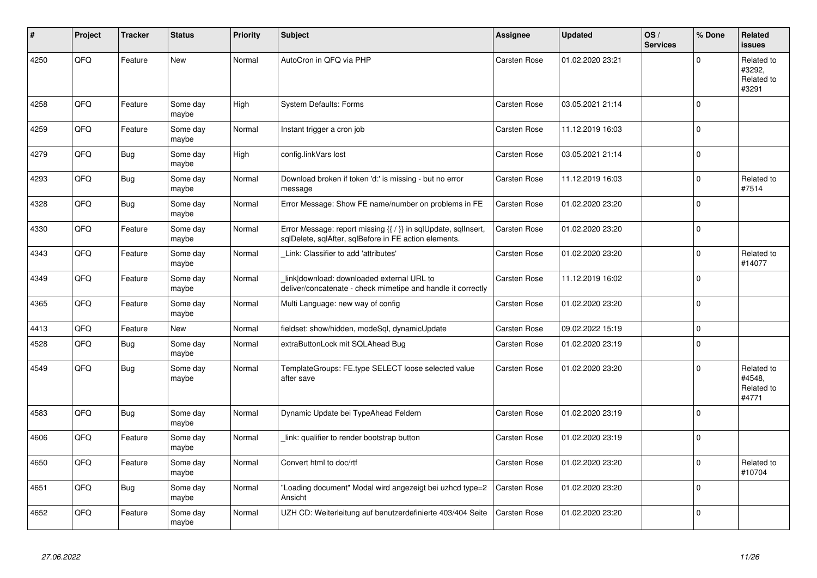| #    | Project | <b>Tracker</b> | <b>Status</b>     | <b>Priority</b> | <b>Subject</b>                                                                                                          | Assignee            | <b>Updated</b>   | OS/<br><b>Services</b> | % Done      | Related<br><b>issues</b>                    |
|------|---------|----------------|-------------------|-----------------|-------------------------------------------------------------------------------------------------------------------------|---------------------|------------------|------------------------|-------------|---------------------------------------------|
| 4250 | QFQ     | Feature        | <b>New</b>        | Normal          | AutoCron in QFQ via PHP                                                                                                 | <b>Carsten Rose</b> | 01.02.2020 23:21 |                        | $\Omega$    | Related to<br>#3292,<br>Related to<br>#3291 |
| 4258 | QFQ     | Feature        | Some day<br>maybe | High            | <b>System Defaults: Forms</b>                                                                                           | Carsten Rose        | 03.05.2021 21:14 |                        | $\Omega$    |                                             |
| 4259 | QFQ     | Feature        | Some day<br>maybe | Normal          | Instant trigger a cron job                                                                                              | <b>Carsten Rose</b> | 11.12.2019 16:03 |                        | $\Omega$    |                                             |
| 4279 | QFQ     | Bug            | Some day<br>maybe | High            | config.linkVars lost                                                                                                    | Carsten Rose        | 03.05.2021 21:14 |                        | $\Omega$    |                                             |
| 4293 | QFQ     | <b>Bug</b>     | Some day<br>maybe | Normal          | Download broken if token 'd:' is missing - but no error<br>message                                                      | <b>Carsten Rose</b> | 11.12.2019 16:03 |                        | $\Omega$    | Related to<br>#7514                         |
| 4328 | QFQ     | Bug            | Some day<br>maybe | Normal          | Error Message: Show FE name/number on problems in FE                                                                    | Carsten Rose        | 01.02.2020 23:20 |                        | $\Omega$    |                                             |
| 4330 | QFQ     | Feature        | Some day<br>maybe | Normal          | Error Message: report missing {{ / }} in sqlUpdate, sqlInsert,<br>sqlDelete, sqlAfter, sqlBefore in FE action elements. | <b>Carsten Rose</b> | 01.02.2020 23:20 |                        | $\Omega$    |                                             |
| 4343 | QFQ     | Feature        | Some day<br>maybe | Normal          | Link: Classifier to add 'attributes'                                                                                    | <b>Carsten Rose</b> | 01.02.2020 23:20 |                        | $\Omega$    | Related to<br>#14077                        |
| 4349 | QFQ     | Feature        | Some day<br>maybe | Normal          | link download: downloaded external URL to<br>deliver/concatenate - check mimetipe and handle it correctly               | <b>Carsten Rose</b> | 11.12.2019 16:02 |                        | $\Omega$    |                                             |
| 4365 | QFQ     | Feature        | Some day<br>maybe | Normal          | Multi Language: new way of config                                                                                       | Carsten Rose        | 01.02.2020 23:20 |                        | $\Omega$    |                                             |
| 4413 | QFQ     | Feature        | <b>New</b>        | Normal          | fieldset: show/hidden, modeSql, dynamicUpdate                                                                           | <b>Carsten Rose</b> | 09.02.2022 15:19 |                        | $\mathbf 0$ |                                             |
| 4528 | QFQ     | Bug            | Some day<br>maybe | Normal          | extraButtonLock mit SQLAhead Bug                                                                                        | <b>Carsten Rose</b> | 01.02.2020 23:19 |                        | $\Omega$    |                                             |
| 4549 | QFQ     | Bug            | Some day<br>maybe | Normal          | TemplateGroups: FE.type SELECT loose selected value<br>after save                                                       | Carsten Rose        | 01.02.2020 23:20 |                        | $\Omega$    | Related to<br>#4548.<br>Related to<br>#4771 |
| 4583 | QFQ     | <b>Bug</b>     | Some day<br>maybe | Normal          | Dynamic Update bei TypeAhead Feldern                                                                                    | Carsten Rose        | 01.02.2020 23:19 |                        | $\Omega$    |                                             |
| 4606 | QFQ     | Feature        | Some day<br>maybe | Normal          | link: qualifier to render bootstrap button                                                                              | Carsten Rose        | 01.02.2020 23:19 |                        | $\Omega$    |                                             |
| 4650 | QFQ     | Feature        | Some day<br>maybe | Normal          | Convert html to doc/rtf                                                                                                 | Carsten Rose        | 01.02.2020 23:20 |                        | $\Omega$    | Related to<br>#10704                        |
| 4651 | QFQ     | Bug            | Some day<br>maybe | Normal          | 'Loading document" Modal wird angezeigt bei uzhcd type=2<br>Ansicht                                                     | Carsten Rose        | 01.02.2020 23:20 |                        | $\mathbf 0$ |                                             |
| 4652 | QFQ     | Feature        | Some day<br>maybe | Normal          | UZH CD: Weiterleitung auf benutzerdefinierte 403/404 Seite                                                              | <b>Carsten Rose</b> | 01.02.2020 23:20 |                        | $\Omega$    |                                             |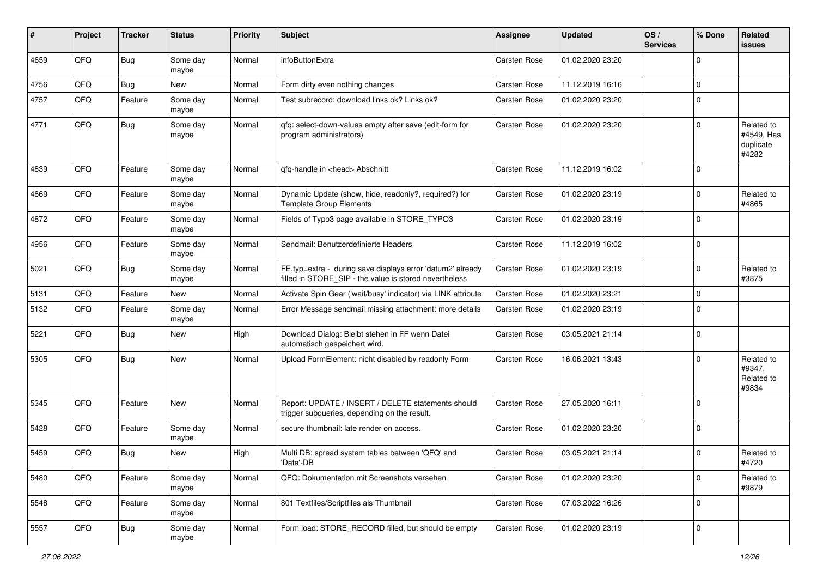| #    | Project | <b>Tracker</b> | <b>Status</b>     | <b>Priority</b> | Subject                                                                                                              | <b>Assignee</b>     | <b>Updated</b>   | OS/<br><b>Services</b> | % Done      | Related<br><b>issues</b>                       |
|------|---------|----------------|-------------------|-----------------|----------------------------------------------------------------------------------------------------------------------|---------------------|------------------|------------------------|-------------|------------------------------------------------|
| 4659 | QFQ     | <b>Bug</b>     | Some day<br>maybe | Normal          | infoButtonExtra                                                                                                      | <b>Carsten Rose</b> | 01.02.2020 23:20 |                        | $\mathbf 0$ |                                                |
| 4756 | QFQ     | <b>Bug</b>     | New               | Normal          | Form dirty even nothing changes                                                                                      | <b>Carsten Rose</b> | 11.12.2019 16:16 |                        | $\mathbf 0$ |                                                |
| 4757 | QFQ     | Feature        | Some day<br>maybe | Normal          | Test subrecord: download links ok? Links ok?                                                                         | <b>Carsten Rose</b> | 01.02.2020 23:20 |                        | $\mathbf 0$ |                                                |
| 4771 | QFQ     | Bug            | Some day<br>maybe | Normal          | qfq: select-down-values empty after save (edit-form for<br>program administrators)                                   | <b>Carsten Rose</b> | 01.02.2020 23:20 |                        | $\mathbf 0$ | Related to<br>#4549, Has<br>duplicate<br>#4282 |
| 4839 | QFQ     | Feature        | Some day<br>maybe | Normal          | qfq-handle in <head> Abschnitt</head>                                                                                | <b>Carsten Rose</b> | 11.12.2019 16:02 |                        | $\mathbf 0$ |                                                |
| 4869 | QFQ     | Feature        | Some day<br>maybe | Normal          | Dynamic Update (show, hide, readonly?, required?) for<br><b>Template Group Elements</b>                              | <b>Carsten Rose</b> | 01.02.2020 23:19 |                        | $\Omega$    | Related to<br>#4865                            |
| 4872 | QFQ     | Feature        | Some day<br>maybe | Normal          | Fields of Typo3 page available in STORE_TYPO3                                                                        | <b>Carsten Rose</b> | 01.02.2020 23:19 |                        | $\mathbf 0$ |                                                |
| 4956 | QFQ     | Feature        | Some day<br>maybe | Normal          | Sendmail: Benutzerdefinierte Headers                                                                                 | <b>Carsten Rose</b> | 11.12.2019 16:02 |                        | $\mathbf 0$ |                                                |
| 5021 | QFQ     | <b>Bug</b>     | Some day<br>maybe | Normal          | FE.typ=extra - during save displays error 'datum2' already<br>filled in STORE_SIP - the value is stored nevertheless | <b>Carsten Rose</b> | 01.02.2020 23:19 |                        | $\mathbf 0$ | Related to<br>#3875                            |
| 5131 | QFQ     | Feature        | New               | Normal          | Activate Spin Gear ('wait/busy' indicator) via LINK attribute                                                        | <b>Carsten Rose</b> | 01.02.2020 23:21 |                        | $\mathbf 0$ |                                                |
| 5132 | QFQ     | Feature        | Some day<br>maybe | Normal          | Error Message sendmail missing attachment: more details                                                              | <b>Carsten Rose</b> | 01.02.2020 23:19 |                        | $\mathbf 0$ |                                                |
| 5221 | QFQ     | Bug            | <b>New</b>        | High            | Download Dialog: Bleibt stehen in FF wenn Datei<br>automatisch gespeichert wird.                                     | <b>Carsten Rose</b> | 03.05.2021 21:14 |                        | $\mathbf 0$ |                                                |
| 5305 | QFQ     | Bug            | New               | Normal          | Upload FormElement: nicht disabled by readonly Form                                                                  | <b>Carsten Rose</b> | 16.06.2021 13:43 |                        | $\mathbf 0$ | Related to<br>#9347,<br>Related to<br>#9834    |
| 5345 | QFQ     | Feature        | New               | Normal          | Report: UPDATE / INSERT / DELETE statements should<br>trigger subqueries, depending on the result.                   | <b>Carsten Rose</b> | 27.05.2020 16:11 |                        | $\mathbf 0$ |                                                |
| 5428 | QFQ     | Feature        | Some day<br>maybe | Normal          | secure thumbnail: late render on access.                                                                             | <b>Carsten Rose</b> | 01.02.2020 23:20 |                        | $\mathbf 0$ |                                                |
| 5459 | QFQ     | <b>Bug</b>     | New               | High            | Multi DB: spread system tables between 'QFQ' and<br>'Data'-DB                                                        | <b>Carsten Rose</b> | 03.05.2021 21:14 |                        | $\mathbf 0$ | Related to<br>#4720                            |
| 5480 | QFQ     | Feature        | Some day<br>maybe | Normal          | QFQ: Dokumentation mit Screenshots versehen                                                                          | Carsten Rose        | 01.02.2020 23:20 |                        | $\mathbf 0$ | Related to<br>#9879                            |
| 5548 | QFQ     | Feature        | Some day<br>maybe | Normal          | 801 Textfiles/Scriptfiles als Thumbnail                                                                              | <b>Carsten Rose</b> | 07.03.2022 16:26 |                        | $\mathbf 0$ |                                                |
| 5557 | QFG     | <b>Bug</b>     | Some day<br>maybe | Normal          | Form load: STORE_RECORD filled, but should be empty                                                                  | Carsten Rose        | 01.02.2020 23:19 |                        | $\mathbf 0$ |                                                |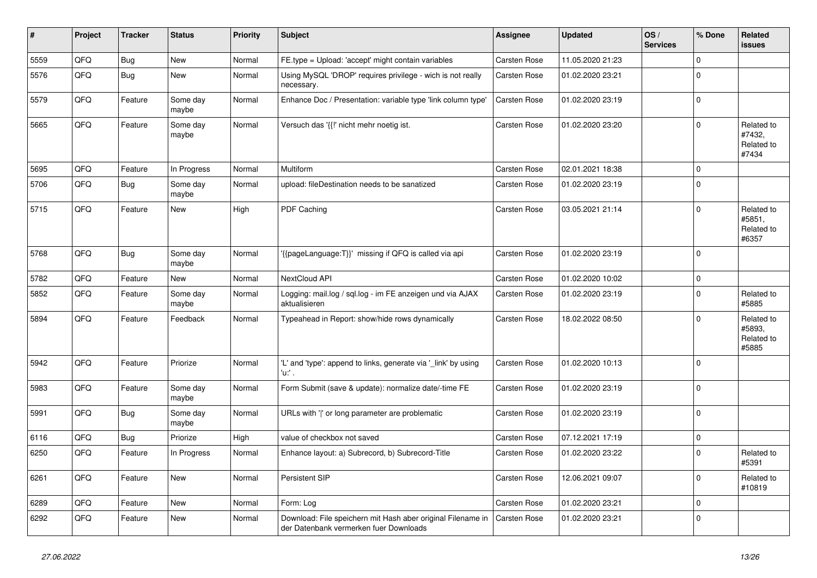| ∦    | Project | <b>Tracker</b> | <b>Status</b>     | <b>Priority</b> | Subject                                                                                               | <b>Assignee</b>     | <b>Updated</b>   | OS/<br><b>Services</b> | % Done      | Related<br>issues                           |
|------|---------|----------------|-------------------|-----------------|-------------------------------------------------------------------------------------------------------|---------------------|------------------|------------------------|-------------|---------------------------------------------|
| 5559 | QFQ     | Bug            | <b>New</b>        | Normal          | FE.type = Upload: 'accept' might contain variables                                                    | Carsten Rose        | 11.05.2020 21:23 |                        | $\Omega$    |                                             |
| 5576 | QFQ     | Bug            | <b>New</b>        | Normal          | Using MySQL 'DROP' requires privilege - wich is not really<br>necessary.                              | <b>Carsten Rose</b> | 01.02.2020 23:21 |                        | $\Omega$    |                                             |
| 5579 | QFQ     | Feature        | Some day<br>maybe | Normal          | Enhance Doc / Presentation: variable type 'link column type'                                          | <b>Carsten Rose</b> | 01.02.2020 23:19 |                        | $\Omega$    |                                             |
| 5665 | QFQ     | Feature        | Some day<br>maybe | Normal          | Versuch das '{{!' nicht mehr noetig ist.                                                              | <b>Carsten Rose</b> | 01.02.2020 23:20 |                        | $\Omega$    | Related to<br>#7432,<br>Related to<br>#7434 |
| 5695 | QFQ     | Feature        | In Progress       | Normal          | Multiform                                                                                             | <b>Carsten Rose</b> | 02.01.2021 18:38 |                        | $\mathbf 0$ |                                             |
| 5706 | QFQ     | Bug            | Some day<br>maybe | Normal          | upload: fileDestination needs to be sanatized                                                         | Carsten Rose        | 01.02.2020 23:19 |                        | $\Omega$    |                                             |
| 5715 | QFQ     | Feature        | <b>New</b>        | High            | PDF Caching                                                                                           | <b>Carsten Rose</b> | 03.05.2021 21:14 |                        | $\Omega$    | Related to<br>#5851,<br>Related to<br>#6357 |
| 5768 | QFQ     | Bug            | Some day<br>maybe | Normal          | '{{pageLanguage:T}}' missing if QFQ is called via api                                                 | <b>Carsten Rose</b> | 01.02.2020 23:19 |                        | $\Omega$    |                                             |
| 5782 | QFQ     | Feature        | <b>New</b>        | Normal          | NextCloud API                                                                                         | <b>Carsten Rose</b> | 01.02.2020 10:02 |                        | $\Omega$    |                                             |
| 5852 | QFQ     | Feature        | Some day<br>maybe | Normal          | Logging: mail.log / sql.log - im FE anzeigen und via AJAX<br>aktualisieren                            | Carsten Rose        | 01.02.2020 23:19 |                        | $\Omega$    | Related to<br>#5885                         |
| 5894 | QFQ     | Feature        | Feedback          | Normal          | Typeahead in Report: show/hide rows dynamically                                                       | <b>Carsten Rose</b> | 18.02.2022 08:50 |                        | $\Omega$    | Related to<br>#5893,<br>Related to<br>#5885 |
| 5942 | QFQ     | Feature        | Priorize          | Normal          | 'L' and 'type': append to links, generate via '_link' by using<br>'u:' .                              | <b>Carsten Rose</b> | 01.02.2020 10:13 |                        | $\mathbf 0$ |                                             |
| 5983 | QFQ     | Feature        | Some day<br>maybe | Normal          | Form Submit (save & update): normalize date/-time FE                                                  | <b>Carsten Rose</b> | 01.02.2020 23:19 |                        | $\Omega$    |                                             |
| 5991 | QFQ     | Bug            | Some day<br>maybe | Normal          | URLs with ' ' or long parameter are problematic                                                       | <b>Carsten Rose</b> | 01.02.2020 23:19 |                        | $\Omega$    |                                             |
| 6116 | QFQ     | Bug            | Priorize          | High            | value of checkbox not saved                                                                           | <b>Carsten Rose</b> | 07.12.2021 17:19 |                        | $\Omega$    |                                             |
| 6250 | QFQ     | Feature        | In Progress       | Normal          | Enhance layout: a) Subrecord, b) Subrecord-Title                                                      | <b>Carsten Rose</b> | 01.02.2020 23:22 |                        | $\Omega$    | Related to<br>#5391                         |
| 6261 | QFQ     | Feature        | New               | Normal          | Persistent SIP                                                                                        | Carsten Rose        | 12.06.2021 09:07 |                        | $\Omega$    | Related to<br>#10819                        |
| 6289 | QFQ     | Feature        | <b>New</b>        | Normal          | Form: Log                                                                                             | Carsten Rose        | 01.02.2020 23:21 |                        | $\mathbf 0$ |                                             |
| 6292 | QFQ     | Feature        | New               | Normal          | Download: File speichern mit Hash aber original Filename in<br>der Datenbank vermerken fuer Downloads | Carsten Rose        | 01.02.2020 23:21 |                        | $\mathbf 0$ |                                             |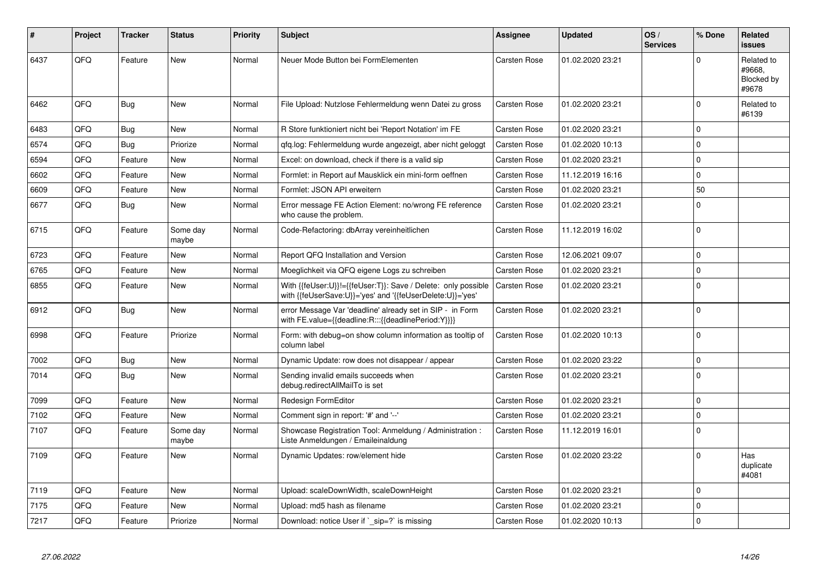| #    | Project | <b>Tracker</b> | <b>Status</b>     | <b>Priority</b> | <b>Subject</b>                                                                                                             | Assignee            | <b>Updated</b>   | OS/<br><b>Services</b> | % Done      | <b>Related</b><br><b>issues</b>             |
|------|---------|----------------|-------------------|-----------------|----------------------------------------------------------------------------------------------------------------------------|---------------------|------------------|------------------------|-------------|---------------------------------------------|
| 6437 | QFQ     | Feature        | <b>New</b>        | Normal          | Neuer Mode Button bei FormElementen                                                                                        | <b>Carsten Rose</b> | 01.02.2020 23:21 |                        | $\Omega$    | Related to<br>#9668.<br>Blocked by<br>#9678 |
| 6462 | QFQ     | Bug            | <b>New</b>        | Normal          | File Upload: Nutzlose Fehlermeldung wenn Datei zu gross                                                                    | Carsten Rose        | 01.02.2020 23:21 |                        | $\Omega$    | Related to<br>#6139                         |
| 6483 | QFQ     | Bug            | <b>New</b>        | Normal          | R Store funktioniert nicht bei 'Report Notation' im FE                                                                     | <b>Carsten Rose</b> | 01.02.2020 23:21 |                        | $\mathbf 0$ |                                             |
| 6574 | QFQ     | <b>Bug</b>     | Priorize          | Normal          | qfq.log: Fehlermeldung wurde angezeigt, aber nicht geloggt                                                                 | Carsten Rose        | 01.02.2020 10:13 |                        | $\Omega$    |                                             |
| 6594 | QFQ     | Feature        | <b>New</b>        | Normal          | Excel: on download, check if there is a valid sip                                                                          | <b>Carsten Rose</b> | 01.02.2020 23:21 |                        | $\mathbf 0$ |                                             |
| 6602 | QFQ     | Feature        | New               | Normal          | Formlet: in Report auf Mausklick ein mini-form oeffnen                                                                     | Carsten Rose        | 11.12.2019 16:16 |                        | $\Omega$    |                                             |
| 6609 | QFQ     | Feature        | <b>New</b>        | Normal          | Formlet: JSON API erweitern                                                                                                | <b>Carsten Rose</b> | 01.02.2020 23:21 |                        | 50          |                                             |
| 6677 | QFQ     | Bug            | <b>New</b>        | Normal          | Error message FE Action Element: no/wrong FE reference<br>who cause the problem.                                           | Carsten Rose        | 01.02.2020 23:21 |                        | $\Omega$    |                                             |
| 6715 | QFQ     | Feature        | Some day<br>maybe | Normal          | Code-Refactoring: dbArray vereinheitlichen                                                                                 | Carsten Rose        | 11.12.2019 16:02 |                        | $\Omega$    |                                             |
| 6723 | QFQ     | Feature        | New               | Normal          | Report QFQ Installation and Version                                                                                        | Carsten Rose        | 12.06.2021 09:07 |                        | $\Omega$    |                                             |
| 6765 | QFQ     | Feature        | <b>New</b>        | Normal          | Moeglichkeit via QFQ eigene Logs zu schreiben                                                                              | Carsten Rose        | 01.02.2020 23:21 |                        | $\mathbf 0$ |                                             |
| 6855 | QFQ     | Feature        | New               | Normal          | With {{feUser:U}}!={{feUser:T}}: Save / Delete: only possible<br>with {{feUserSave:U}}='yes' and '{{feUserDelete:U}}='yes' | <b>Carsten Rose</b> | 01.02.2020 23:21 |                        | $\Omega$    |                                             |
| 6912 | QFQ     | Bug            | New               | Normal          | error Message Var 'deadline' already set in SIP - in Form<br>with FE.value={{deadline:R:::{{deadlinePeriod:Y}}}}           | Carsten Rose        | 01.02.2020 23:21 |                        | $\Omega$    |                                             |
| 6998 | QFQ     | Feature        | Priorize          | Normal          | Form: with debug=on show column information as tooltip of<br>column label                                                  | Carsten Rose        | 01.02.2020 10:13 |                        | $\Omega$    |                                             |
| 7002 | QFQ     | Bug            | <b>New</b>        | Normal          | Dynamic Update: row does not disappear / appear                                                                            | Carsten Rose        | 01.02.2020 23:22 |                        | $\Omega$    |                                             |
| 7014 | QFQ     | Bug            | <b>New</b>        | Normal          | Sending invalid emails succeeds when<br>debug.redirectAllMailTo is set                                                     | <b>Carsten Rose</b> | 01.02.2020 23:21 |                        | $\Omega$    |                                             |
| 7099 | QFQ     | Feature        | <b>New</b>        | Normal          | Redesign FormEditor                                                                                                        | Carsten Rose        | 01.02.2020 23:21 |                        | $\Omega$    |                                             |
| 7102 | QFQ     | Feature        | <b>New</b>        | Normal          | Comment sign in report: '#' and '--'                                                                                       | Carsten Rose        | 01.02.2020 23:21 |                        | $\Omega$    |                                             |
| 7107 | QFQ     | Feature        | Some day<br>maybe | Normal          | Showcase Registration Tool: Anmeldung / Administration :<br>Liste Anmeldungen / Emaileinaldung                             | <b>Carsten Rose</b> | 11.12.2019 16:01 |                        | $\Omega$    |                                             |
| 7109 | QFQ     | Feature        | <b>New</b>        | Normal          | Dynamic Updates: row/element hide                                                                                          | <b>Carsten Rose</b> | 01.02.2020 23:22 |                        | $\Omega$    | Has<br>duplicate<br>#4081                   |
| 7119 | QFQ     | Feature        | <b>New</b>        | Normal          | Upload: scaleDownWidth, scaleDownHeight                                                                                    | <b>Carsten Rose</b> | 01.02.2020 23:21 |                        | $\Omega$    |                                             |
| 7175 | QFQ     | Feature        | <b>New</b>        | Normal          | Upload: md5 hash as filename                                                                                               | Carsten Rose        | 01.02.2020 23:21 |                        | $\Omega$    |                                             |
| 7217 | QFQ     | Feature        | Priorize          | Normal          | Download: notice User if `_sip=?` is missing                                                                               | <b>Carsten Rose</b> | 01.02.2020 10:13 |                        | $\Omega$    |                                             |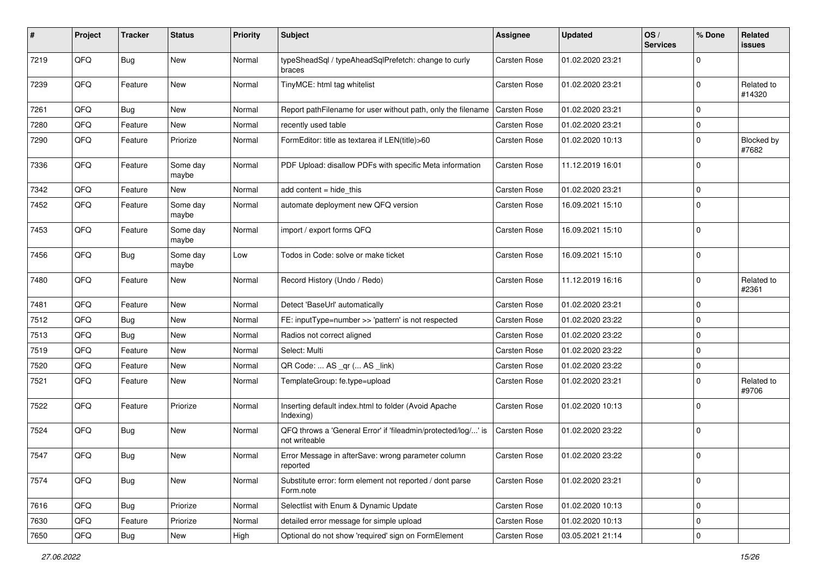| #    | Project | <b>Tracker</b> | <b>Status</b>     | <b>Priority</b> | <b>Subject</b>                                                                 | <b>Assignee</b>     | <b>Updated</b>   | OS/<br><b>Services</b> | % Done      | Related<br>issues          |
|------|---------|----------------|-------------------|-----------------|--------------------------------------------------------------------------------|---------------------|------------------|------------------------|-------------|----------------------------|
| 7219 | QFQ     | Bug            | <b>New</b>        | Normal          | typeSheadSql / typeAheadSqlPrefetch: change to curly<br>braces                 | Carsten Rose        | 01.02.2020 23:21 |                        | $\Omega$    |                            |
| 7239 | QFQ     | Feature        | New               | Normal          | TinyMCE: html tag whitelist                                                    | Carsten Rose        | 01.02.2020 23:21 |                        | $\Omega$    | Related to<br>#14320       |
| 7261 | QFQ     | Bug            | <b>New</b>        | Normal          | Report pathFilename for user without path, only the filename                   | <b>Carsten Rose</b> | 01.02.2020 23:21 |                        | $\Omega$    |                            |
| 7280 | QFQ     | Feature        | New               | Normal          | recently used table                                                            | Carsten Rose        | 01.02.2020 23:21 |                        | $\Omega$    |                            |
| 7290 | QFQ     | Feature        | Priorize          | Normal          | FormEditor: title as textarea if LEN(title)>60                                 | Carsten Rose        | 01.02.2020 10:13 |                        | 0           | <b>Blocked by</b><br>#7682 |
| 7336 | QFQ     | Feature        | Some day<br>maybe | Normal          | PDF Upload: disallow PDFs with specific Meta information                       | <b>Carsten Rose</b> | 11.12.2019 16:01 |                        | $\mathbf 0$ |                            |
| 7342 | QFG     | Feature        | New               | Normal          | add content = hide_this                                                        | <b>Carsten Rose</b> | 01.02.2020 23:21 |                        | 0           |                            |
| 7452 | QFQ     | Feature        | Some day<br>maybe | Normal          | automate deployment new QFQ version                                            | Carsten Rose        | 16.09.2021 15:10 |                        | $\Omega$    |                            |
| 7453 | QFQ     | Feature        | Some day<br>maybe | Normal          | import / export forms QFQ                                                      | Carsten Rose        | 16.09.2021 15:10 |                        | $\mathbf 0$ |                            |
| 7456 | QFQ     | Bug            | Some day<br>maybe | Low             | Todos in Code: solve or make ticket                                            | Carsten Rose        | 16.09.2021 15:10 |                        | $\mathbf 0$ |                            |
| 7480 | QFQ     | Feature        | <b>New</b>        | Normal          | Record History (Undo / Redo)                                                   | <b>Carsten Rose</b> | 11.12.2019 16:16 |                        | $\mathbf 0$ | Related to<br>#2361        |
| 7481 | QFQ     | Feature        | <b>New</b>        | Normal          | Detect 'BaseUrl' automatically                                                 | <b>Carsten Rose</b> | 01.02.2020 23:21 |                        | $\mathbf 0$ |                            |
| 7512 | QFQ     | Bug            | New               | Normal          | FE: inputType=number >> 'pattern' is not respected                             | <b>Carsten Rose</b> | 01.02.2020 23:22 |                        | $\mathbf 0$ |                            |
| 7513 | QFQ     | Bug            | New               | Normal          | Radios not correct aligned                                                     | Carsten Rose        | 01.02.2020 23:22 |                        | $\mathbf 0$ |                            |
| 7519 | QFQ     | Feature        | <b>New</b>        | Normal          | Select: Multi                                                                  | Carsten Rose        | 01.02.2020 23:22 |                        | 0           |                            |
| 7520 | QFQ     | Feature        | <b>New</b>        | Normal          | QR Code:  AS _qr ( AS _link)                                                   | <b>Carsten Rose</b> | 01.02.2020 23:22 |                        | 0           |                            |
| 7521 | QFQ     | Feature        | <b>New</b>        | Normal          | TemplateGroup: fe.type=upload                                                  | Carsten Rose        | 01.02.2020 23:21 |                        | $\Omega$    | Related to<br>#9706        |
| 7522 | QFQ     | Feature        | Priorize          | Normal          | Inserting default index.html to folder (Avoid Apache<br>Indexing)              | Carsten Rose        | 01.02.2020 10:13 |                        | $\Omega$    |                            |
| 7524 | QFQ     | <b>Bug</b>     | New               | Normal          | QFQ throws a 'General Error' if 'fileadmin/protected/log/' is<br>not writeable | Carsten Rose        | 01.02.2020 23:22 |                        | $\mathbf 0$ |                            |
| 7547 | QFQ     | Bug            | New               | Normal          | Error Message in afterSave: wrong parameter column<br>reported                 | Carsten Rose        | 01.02.2020 23:22 |                        | $\mathbf 0$ |                            |
| 7574 | QFQ     | Bug            | New               | Normal          | Substitute error: form element not reported / dont parse<br>Form.note          | Carsten Rose        | 01.02.2020 23:21 |                        | $\mathbf 0$ |                            |
| 7616 | QFQ     | Bug            | Priorize          | Normal          | Selectlist with Enum & Dynamic Update                                          | Carsten Rose        | 01.02.2020 10:13 |                        | $\mathbf 0$ |                            |
| 7630 | QFQ     | Feature        | Priorize          | Normal          | detailed error message for simple upload                                       | Carsten Rose        | 01.02.2020 10:13 |                        | 0           |                            |
| 7650 | QFQ     | Bug            | New               | High            | Optional do not show 'required' sign on FormElement                            | Carsten Rose        | 03.05.2021 21:14 |                        | 0           |                            |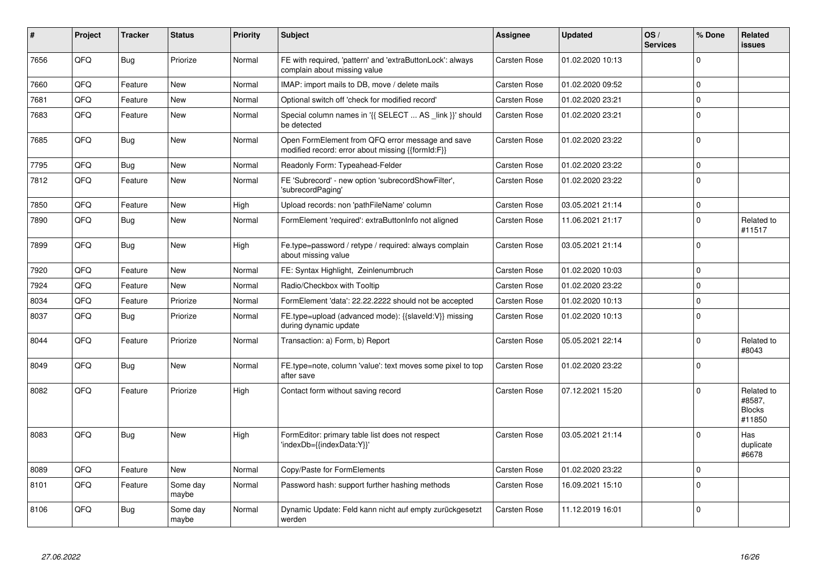| #    | Project | <b>Tracker</b> | <b>Status</b>     | <b>Priority</b> | <b>Subject</b>                                                                                        | <b>Assignee</b>     | <b>Updated</b>   | OS/<br><b>Services</b> | % Done      | Related<br>issues                               |
|------|---------|----------------|-------------------|-----------------|-------------------------------------------------------------------------------------------------------|---------------------|------------------|------------------------|-------------|-------------------------------------------------|
| 7656 | QFQ     | <b>Bug</b>     | Priorize          | Normal          | FE with required, 'pattern' and 'extraButtonLock': always<br>complain about missing value             | <b>Carsten Rose</b> | 01.02.2020 10:13 |                        | $\Omega$    |                                                 |
| 7660 | QFQ     | Feature        | <b>New</b>        | Normal          | IMAP: import mails to DB, move / delete mails                                                         | <b>Carsten Rose</b> | 01.02.2020 09:52 |                        | $\mathbf 0$ |                                                 |
| 7681 | QFQ     | Feature        | <b>New</b>        | Normal          | Optional switch off 'check for modified record'                                                       | <b>Carsten Rose</b> | 01.02.2020 23:21 |                        | $\Omega$    |                                                 |
| 7683 | QFQ     | Feature        | New               | Normal          | Special column names in '{{ SELECT  AS _link }}' should<br>be detected                                | Carsten Rose        | 01.02.2020 23:21 |                        | $\Omega$    |                                                 |
| 7685 | QFQ     | <b>Bug</b>     | <b>New</b>        | Normal          | Open FormElement from QFQ error message and save<br>modified record: error about missing {{formId:F}} | <b>Carsten Rose</b> | 01.02.2020 23:22 |                        | $\Omega$    |                                                 |
| 7795 | QFQ     | <b>Bug</b>     | <b>New</b>        | Normal          | Readonly Form: Typeahead-Felder                                                                       | Carsten Rose        | 01.02.2020 23:22 |                        | $\Omega$    |                                                 |
| 7812 | QFQ     | Feature        | <b>New</b>        | Normal          | FE 'Subrecord' - new option 'subrecordShowFilter',<br>'subrecordPaging'                               | <b>Carsten Rose</b> | 01.02.2020 23:22 |                        | $\Omega$    |                                                 |
| 7850 | QFQ     | Feature        | <b>New</b>        | High            | Upload records: non 'pathFileName' column                                                             | Carsten Rose        | 03.05.2021 21:14 |                        | $\mathbf 0$ |                                                 |
| 7890 | QFQ     | <b>Bug</b>     | <b>New</b>        | Normal          | FormElement 'required': extraButtonInfo not aligned                                                   | <b>Carsten Rose</b> | 11.06.2021 21:17 |                        | $\Omega$    | Related to<br>#11517                            |
| 7899 | QFQ     | Bug            | <b>New</b>        | High            | Fe.type=password / retype / required: always complain<br>about missing value                          | Carsten Rose        | 03.05.2021 21:14 |                        | $\Omega$    |                                                 |
| 7920 | QFQ     | Feature        | <b>New</b>        | Normal          | FE: Syntax Highlight, Zeinlenumbruch                                                                  | Carsten Rose        | 01.02.2020 10:03 |                        | $\Omega$    |                                                 |
| 7924 | QFQ     | Feature        | New               | Normal          | Radio/Checkbox with Tooltip                                                                           | Carsten Rose        | 01.02.2020 23:22 |                        | $\Omega$    |                                                 |
| 8034 | QFQ     | Feature        | Priorize          | Normal          | FormElement 'data': 22.22.2222 should not be accepted                                                 | <b>Carsten Rose</b> | 01.02.2020 10:13 |                        | $\Omega$    |                                                 |
| 8037 | QFQ     | <b>Bug</b>     | Priorize          | Normal          | FE.type=upload (advanced mode): {{slaveld:V}} missing<br>during dynamic update                        | Carsten Rose        | 01.02.2020 10:13 |                        | $\Omega$    |                                                 |
| 8044 | QFQ     | Feature        | Priorize          | Normal          | Transaction: a) Form, b) Report                                                                       | Carsten Rose        | 05.05.2021 22:14 |                        | $\Omega$    | Related to<br>#8043                             |
| 8049 | QFQ     | <b>Bug</b>     | <b>New</b>        | Normal          | FE.type=note, column 'value': text moves some pixel to top<br>after save                              | Carsten Rose        | 01.02.2020 23:22 |                        | $\Omega$    |                                                 |
| 8082 | QFQ     | Feature        | Priorize          | High            | Contact form without saving record                                                                    | Carsten Rose        | 07.12.2021 15:20 |                        | $\Omega$    | Related to<br>#8587,<br><b>Blocks</b><br>#11850 |
| 8083 | QFQ     | <b>Bug</b>     | <b>New</b>        | High            | FormEditor: primary table list does not respect<br>'indexDb={{indexData:Y}}'                          | <b>Carsten Rose</b> | 03.05.2021 21:14 |                        | $\Omega$    | Has<br>duplicate<br>#6678                       |
| 8089 | QFQ     | Feature        | <b>New</b>        | Normal          | Copy/Paste for FormElements                                                                           | Carsten Rose        | 01.02.2020 23:22 |                        | $\Omega$    |                                                 |
| 8101 | QFQ     | Feature        | Some day<br>maybe | Normal          | Password hash: support further hashing methods                                                        | <b>Carsten Rose</b> | 16.09.2021 15:10 |                        | $\Omega$    |                                                 |
| 8106 | QFQ     | Bug            | Some day<br>maybe | Normal          | Dynamic Update: Feld kann nicht auf empty zurückgesetzt<br>werden                                     | Carsten Rose        | 11.12.2019 16:01 |                        | $\Omega$    |                                                 |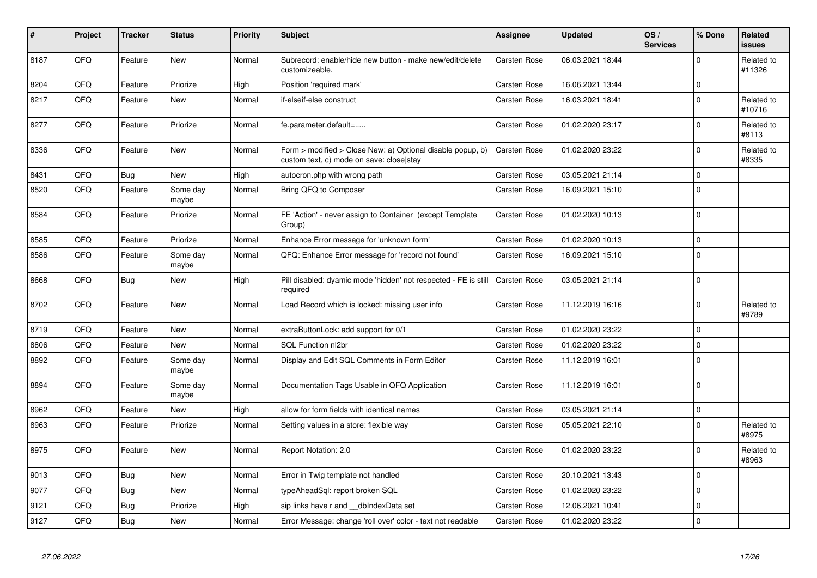| $\vert$ # | Project | <b>Tracker</b> | <b>Status</b>     | <b>Priority</b> | <b>Subject</b>                                                                                         | <b>Assignee</b>     | <b>Updated</b>   | OS/<br><b>Services</b> | % Done      | Related<br>issues    |
|-----------|---------|----------------|-------------------|-----------------|--------------------------------------------------------------------------------------------------------|---------------------|------------------|------------------------|-------------|----------------------|
| 8187      | QFQ     | Feature        | New               | Normal          | Subrecord: enable/hide new button - make new/edit/delete<br>customizeable.                             | <b>Carsten Rose</b> | 06.03.2021 18:44 |                        | $\Omega$    | Related to<br>#11326 |
| 8204      | QFQ     | Feature        | Priorize          | High            | Position 'required mark'                                                                               | <b>Carsten Rose</b> | 16.06.2021 13:44 |                        | $\mathbf 0$ |                      |
| 8217      | QFQ     | Feature        | New               | Normal          | if-elseif-else construct                                                                               | <b>Carsten Rose</b> | 16.03.2021 18:41 |                        | $\Omega$    | Related to<br>#10716 |
| 8277      | QFQ     | Feature        | Priorize          | Normal          | fe.parameter.default=                                                                                  | <b>Carsten Rose</b> | 01.02.2020 23:17 |                        | $\Omega$    | Related to<br>#8113  |
| 8336      | QFQ     | Feature        | <b>New</b>        | Normal          | Form > modified > Close New: a) Optional disable popup, b)<br>custom text, c) mode on save: close stay | <b>Carsten Rose</b> | 01.02.2020 23:22 |                        | $\Omega$    | Related to<br>#8335  |
| 8431      | QFQ     | Bug            | <b>New</b>        | High            | autocron.php with wrong path                                                                           | <b>Carsten Rose</b> | 03.05.2021 21:14 |                        | $\Omega$    |                      |
| 8520      | QFQ     | Feature        | Some day<br>maybe | Normal          | Bring QFQ to Composer                                                                                  | <b>Carsten Rose</b> | 16.09.2021 15:10 |                        | $\mathbf 0$ |                      |
| 8584      | QFQ     | Feature        | Priorize          | Normal          | FE 'Action' - never assign to Container (except Template<br>Group)                                     | <b>Carsten Rose</b> | 01.02.2020 10:13 |                        | $\Omega$    |                      |
| 8585      | QFQ     | Feature        | Priorize          | Normal          | Enhance Error message for 'unknown form'                                                               | <b>Carsten Rose</b> | 01.02.2020 10:13 |                        | $\Omega$    |                      |
| 8586      | QFQ     | Feature        | Some day<br>maybe | Normal          | QFQ: Enhance Error message for 'record not found'                                                      | <b>Carsten Rose</b> | 16.09.2021 15:10 |                        | $\Omega$    |                      |
| 8668      | QFQ     | Bug            | <b>New</b>        | High            | Pill disabled: dyamic mode 'hidden' not respected - FE is still<br>required                            | <b>Carsten Rose</b> | 03.05.2021 21:14 |                        | $\mathbf 0$ |                      |
| 8702      | QFQ     | Feature        | New               | Normal          | Load Record which is locked: missing user info                                                         | <b>Carsten Rose</b> | 11.12.2019 16:16 |                        | 0           | Related to<br>#9789  |
| 8719      | QFQ     | Feature        | <b>New</b>        | Normal          | extraButtonLock: add support for 0/1                                                                   | <b>Carsten Rose</b> | 01.02.2020 23:22 |                        | $\Omega$    |                      |
| 8806      | QFQ     | Feature        | <b>New</b>        | Normal          | SQL Function nl2br                                                                                     | Carsten Rose        | 01.02.2020 23:22 |                        | $\Omega$    |                      |
| 8892      | QFQ     | Feature        | Some day<br>maybe | Normal          | Display and Edit SQL Comments in Form Editor                                                           | <b>Carsten Rose</b> | 11.12.2019 16:01 |                        | $\mathbf 0$ |                      |
| 8894      | QFQ     | Feature        | Some day<br>maybe | Normal          | Documentation Tags Usable in QFQ Application                                                           | <b>Carsten Rose</b> | 11.12.2019 16:01 |                        | $\Omega$    |                      |
| 8962      | QFQ     | Feature        | New               | High            | allow for form fields with identical names                                                             | <b>Carsten Rose</b> | 03.05.2021 21:14 |                        | $\mathbf 0$ |                      |
| 8963      | QFQ     | Feature        | Priorize          | Normal          | Setting values in a store: flexible way                                                                | Carsten Rose        | 05.05.2021 22:10 |                        | $\Omega$    | Related to<br>#8975  |
| 8975      | QFQ     | Feature        | New               | Normal          | Report Notation: 2.0                                                                                   | <b>Carsten Rose</b> | 01.02.2020 23:22 |                        | $\Omega$    | Related to<br>#8963  |
| 9013      | QFQ     | <b>Bug</b>     | <b>New</b>        | Normal          | Error in Twig template not handled                                                                     | <b>Carsten Rose</b> | 20.10.2021 13:43 |                        | $\Omega$    |                      |
| 9077      | QFQ     | Bug            | <b>New</b>        | Normal          | typeAheadSql: report broken SQL                                                                        | Carsten Rose        | 01.02.2020 23:22 |                        | $\Omega$    |                      |
| 9121      | QFQ     | <b>Bug</b>     | Priorize          | High            | sip links have r and __dbIndexData set                                                                 | <b>Carsten Rose</b> | 12.06.2021 10:41 |                        | $\Omega$    |                      |
| 9127      | QFQ     | Bug            | New               | Normal          | Error Message: change 'roll over' color - text not readable                                            | <b>Carsten Rose</b> | 01.02.2020 23:22 |                        | $\Omega$    |                      |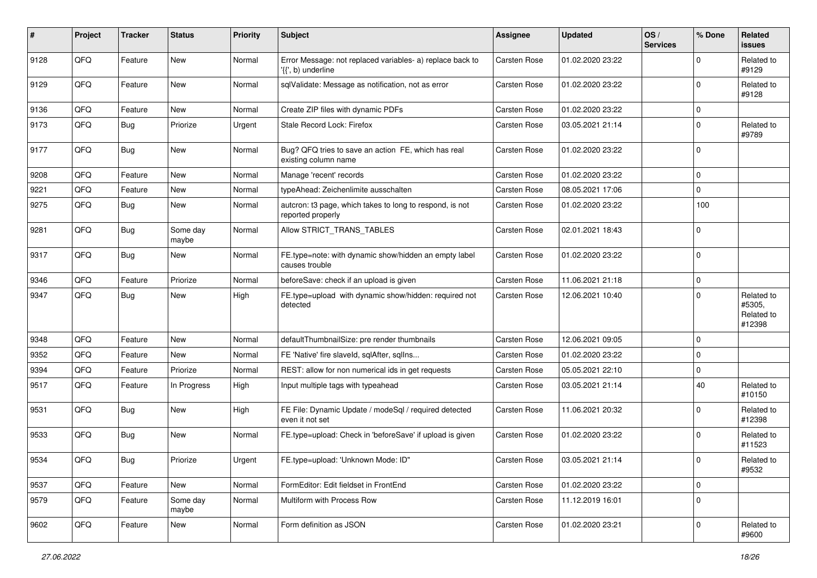| ∦    | Project | <b>Tracker</b> | <b>Status</b>     | <b>Priority</b> | Subject                                                                         | <b>Assignee</b>     | <b>Updated</b>   | OS/<br><b>Services</b> | % Done       | Related<br>issues                            |
|------|---------|----------------|-------------------|-----------------|---------------------------------------------------------------------------------|---------------------|------------------|------------------------|--------------|----------------------------------------------|
| 9128 | QFQ     | Feature        | <b>New</b>        | Normal          | Error Message: not replaced variables- a) replace back to<br>'{{', b) underline | <b>Carsten Rose</b> | 01.02.2020 23:22 |                        | <sup>0</sup> | Related to<br>#9129                          |
| 9129 | QFQ     | Feature        | New               | Normal          | sqlValidate: Message as notification, not as error                              | <b>Carsten Rose</b> | 01.02.2020 23:22 |                        | $\Omega$     | Related to<br>#9128                          |
| 9136 | QFQ     | Feature        | <b>New</b>        | Normal          | Create ZIP files with dynamic PDFs                                              | <b>Carsten Rose</b> | 01.02.2020 23:22 |                        | 0            |                                              |
| 9173 | QFQ     | Bug            | Priorize          | Urgent          | Stale Record Lock: Firefox                                                      | <b>Carsten Rose</b> | 03.05.2021 21:14 |                        | $\Omega$     | Related to<br>#9789                          |
| 9177 | QFQ     | Bug            | <b>New</b>        | Normal          | Bug? QFQ tries to save an action FE, which has real<br>existing column name     | <b>Carsten Rose</b> | 01.02.2020 23:22 |                        | $\Omega$     |                                              |
| 9208 | QFQ     | Feature        | <b>New</b>        | Normal          | Manage 'recent' records                                                         | <b>Carsten Rose</b> | 01.02.2020 23:22 |                        | $\mathbf 0$  |                                              |
| 9221 | QFQ     | Feature        | New               | Normal          | typeAhead: Zeichenlimite ausschalten                                            | <b>Carsten Rose</b> | 08.05.2021 17:06 |                        | $\Omega$     |                                              |
| 9275 | QFQ     | Bug            | <b>New</b>        | Normal          | autcron: t3 page, which takes to long to respond, is not<br>reported properly   | <b>Carsten Rose</b> | 01.02.2020 23:22 |                        | 100          |                                              |
| 9281 | QFQ     | Bug            | Some day<br>maybe | Normal          | Allow STRICT_TRANS_TABLES                                                       | <b>Carsten Rose</b> | 02.01.2021 18:43 |                        | $\Omega$     |                                              |
| 9317 | QFQ     | Bug            | <b>New</b>        | Normal          | FE.type=note: with dynamic show/hidden an empty label<br>causes trouble         | <b>Carsten Rose</b> | 01.02.2020 23:22 |                        | $\Omega$     |                                              |
| 9346 | QFQ     | Feature        | Priorize          | Normal          | beforeSave: check if an upload is given                                         | <b>Carsten Rose</b> | 11.06.2021 21:18 |                        | $\mathbf 0$  |                                              |
| 9347 | QFQ     | Bug            | New               | High            | FE.type=upload with dynamic show/hidden: required not<br>detected               | <b>Carsten Rose</b> | 12.06.2021 10:40 |                        | $\Omega$     | Related to<br>#5305,<br>Related to<br>#12398 |
| 9348 | QFQ     | Feature        | <b>New</b>        | Normal          | defaultThumbnailSize: pre render thumbnails                                     | <b>Carsten Rose</b> | 12.06.2021 09:05 |                        | $\Omega$     |                                              |
| 9352 | QFQ     | Feature        | <b>New</b>        | Normal          | FE 'Native' fire slaveld, sqlAfter, sqlIns                                      | <b>Carsten Rose</b> | 01.02.2020 23:22 |                        | $\Omega$     |                                              |
| 9394 | QFQ     | Feature        | Priorize          | Normal          | REST: allow for non numerical ids in get requests                               | Carsten Rose        | 05.05.2021 22:10 |                        | $\mathbf 0$  |                                              |
| 9517 | QFQ     | Feature        | In Progress       | High            | Input multiple tags with typeahead                                              | <b>Carsten Rose</b> | 03.05.2021 21:14 |                        | 40           | Related to<br>#10150                         |
| 9531 | QFQ     | Bug            | <b>New</b>        | High            | FE File: Dynamic Update / modeSql / required detected<br>even it not set        | <b>Carsten Rose</b> | 11.06.2021 20:32 |                        | $\Omega$     | Related to<br>#12398                         |
| 9533 | QFQ     | Bug            | <b>New</b>        | Normal          | FE.type=upload: Check in 'beforeSave' if upload is given                        | <b>Carsten Rose</b> | 01.02.2020 23:22 |                        | $\Omega$     | Related to<br>#11523                         |
| 9534 | QFQ     | Bug            | Priorize          | Urgent          | FE.type=upload: 'Unknown Mode: ID"                                              | Carsten Rose        | 03.05.2021 21:14 |                        | $\Omega$     | Related to<br>#9532                          |
| 9537 | QFQ     | Feature        | New               | Normal          | FormEditor: Edit fieldset in FrontEnd                                           | Carsten Rose        | 01.02.2020 23:22 |                        | $\mathbf 0$  |                                              |
| 9579 | QFQ     | Feature        | Some day<br>maybe | Normal          | Multiform with Process Row                                                      | <b>Carsten Rose</b> | 11.12.2019 16:01 |                        | $\Omega$     |                                              |
| 9602 | QFQ     | Feature        | New               | Normal          | Form definition as JSON                                                         | Carsten Rose        | 01.02.2020 23:21 |                        | $\mathbf 0$  | Related to<br>#9600                          |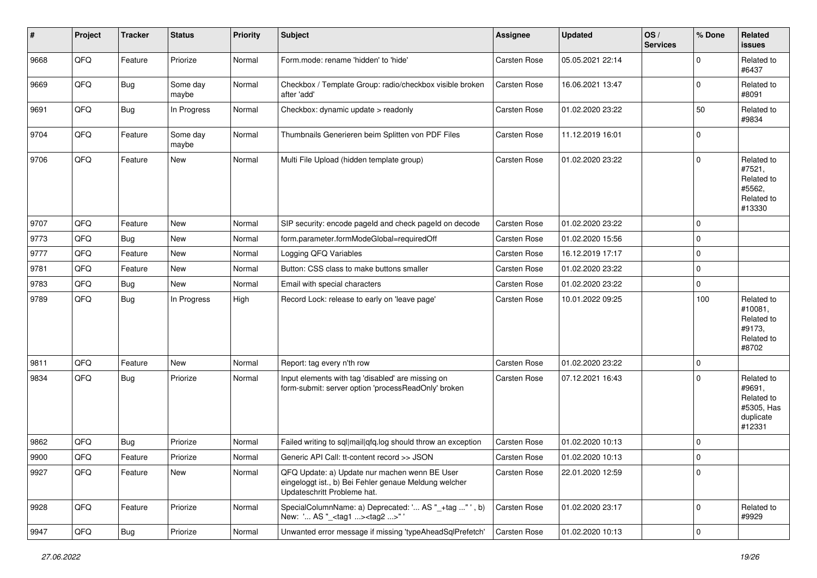| #    | Project | <b>Tracker</b> | <b>Status</b>     | <b>Priority</b> | <b>Subject</b>                                                                                                                        | Assignee            | <b>Updated</b>   | OS/<br><b>Services</b> | % Done      | Related<br><b>issues</b>                                                |
|------|---------|----------------|-------------------|-----------------|---------------------------------------------------------------------------------------------------------------------------------------|---------------------|------------------|------------------------|-------------|-------------------------------------------------------------------------|
| 9668 | QFQ     | Feature        | Priorize          | Normal          | Form.mode: rename 'hidden' to 'hide'                                                                                                  | Carsten Rose        | 05.05.2021 22:14 |                        | $\Omega$    | Related to<br>#6437                                                     |
| 9669 | QFQ     | <b>Bug</b>     | Some day<br>maybe | Normal          | Checkbox / Template Group: radio/checkbox visible broken<br>after 'add'                                                               | Carsten Rose        | 16.06.2021 13:47 |                        | $\mathbf 0$ | Related to<br>#8091                                                     |
| 9691 | QFQ     | <b>Bug</b>     | In Progress       | Normal          | Checkbox: dynamic update > readonly                                                                                                   | Carsten Rose        | 01.02.2020 23:22 |                        | 50          | Related to<br>#9834                                                     |
| 9704 | QFQ     | Feature        | Some day<br>maybe | Normal          | Thumbnails Generieren beim Splitten von PDF Files                                                                                     | Carsten Rose        | 11.12.2019 16:01 |                        | $\mathbf 0$ |                                                                         |
| 9706 | QFQ     | Feature        | New               | Normal          | Multi File Upload (hidden template group)                                                                                             | <b>Carsten Rose</b> | 01.02.2020 23:22 |                        | $\mathbf 0$ | Related to<br>#7521,<br>Related to<br>#5562,<br>Related to<br>#13330    |
| 9707 | QFQ     | Feature        | <b>New</b>        | Normal          | SIP security: encode pageld and check pageld on decode                                                                                | Carsten Rose        | 01.02.2020 23:22 |                        | $\mathbf 0$ |                                                                         |
| 9773 | QFQ     | Bug            | New               | Normal          | form.parameter.formModeGlobal=requiredOff                                                                                             | <b>Carsten Rose</b> | 01.02.2020 15:56 |                        | $\mathbf 0$ |                                                                         |
| 9777 | QFQ     | Feature        | <b>New</b>        | Normal          | Logging QFQ Variables                                                                                                                 | Carsten Rose        | 16.12.2019 17:17 |                        | $\mathbf 0$ |                                                                         |
| 9781 | QFQ     | Feature        | New               | Normal          | Button: CSS class to make buttons smaller                                                                                             | Carsten Rose        | 01.02.2020 23:22 |                        | $\mathbf 0$ |                                                                         |
| 9783 | QFQ     | Bug            | New               | Normal          | Email with special characters                                                                                                         | Carsten Rose        | 01.02.2020 23:22 |                        | $\mathbf 0$ |                                                                         |
| 9789 | QFQ     | <b>Bug</b>     | In Progress       | High            | Record Lock: release to early on 'leave page'                                                                                         | Carsten Rose        | 10.01.2022 09:25 |                        | 100         | Related to<br>#10081,<br>Related to<br>#9173,<br>Related to<br>#8702    |
| 9811 | QFQ     | Feature        | New               | Normal          | Report: tag every n'th row                                                                                                            | Carsten Rose        | 01.02.2020 23:22 |                        | $\mathbf 0$ |                                                                         |
| 9834 | QFQ     | Bug            | Priorize          | Normal          | Input elements with tag 'disabled' are missing on<br>form-submit: server option 'processReadOnly' broken                              | Carsten Rose        | 07.12.2021 16:43 |                        | $\Omega$    | Related to<br>#9691,<br>Related to<br>#5305, Has<br>duplicate<br>#12331 |
| 9862 | QFQ     | Bug            | Priorize          | Normal          | Failed writing to sql mail qfq.log should throw an exception                                                                          | Carsten Rose        | 01.02.2020 10:13 |                        | $\mathbf 0$ |                                                                         |
| 9900 | QFQ     | Feature        | Priorize          | Normal          | Generic API Call: tt-content record >> JSON                                                                                           | Carsten Rose        | 01.02.2020 10:13 |                        | $\mathbf 0$ |                                                                         |
| 9927 | QFQ     | Feature        | New               | Normal          | QFQ Update: a) Update nur machen wenn BE User<br>eingeloggt ist., b) Bei Fehler genaue Meldung welcher<br>Updateschritt Probleme hat. | Carsten Rose        | 22.01.2020 12:59 |                        | $\mathbf 0$ |                                                                         |
| 9928 | QFQ     | Feature        | Priorize          | Normal          | SpecialColumnName: a) Deprecated: ' AS "_+tag " ', b)<br>New: ' AS "_ <tag1><tag2>"</tag2></tag1>                                     | Carsten Rose        | 01.02.2020 23:17 |                        | $\mathbf 0$ | Related to<br>#9929                                                     |
| 9947 | QFQ     | Bug            | Priorize          | Normal          | Unwanted error message if missing 'typeAheadSqlPrefetch'                                                                              | Carsten Rose        | 01.02.2020 10:13 |                        | $\mathbf 0$ |                                                                         |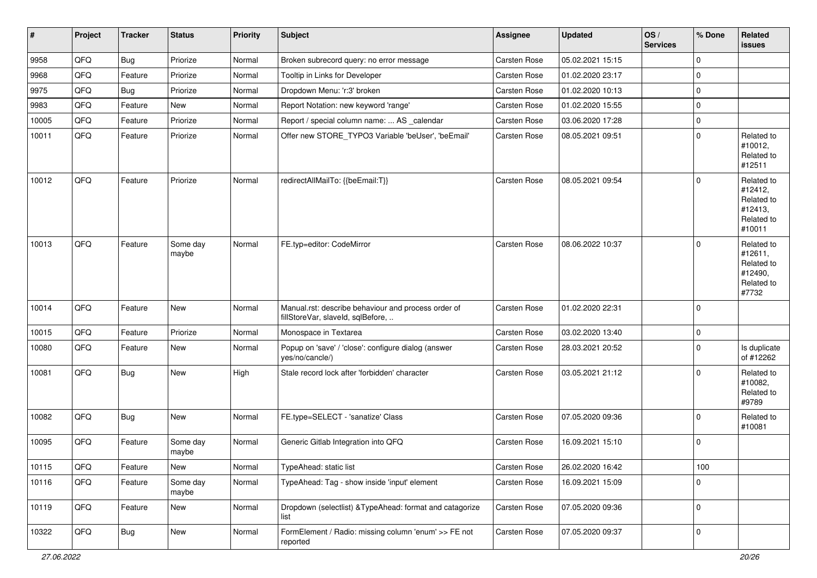| $\vert$ # | Project | <b>Tracker</b> | <b>Status</b>     | <b>Priority</b> | <b>Subject</b>                                                                           | Assignee            | <b>Updated</b>   | OS/<br><b>Services</b> | % Done      | Related<br>issues                                                      |
|-----------|---------|----------------|-------------------|-----------------|------------------------------------------------------------------------------------------|---------------------|------------------|------------------------|-------------|------------------------------------------------------------------------|
| 9958      | QFQ     | <b>Bug</b>     | Priorize          | Normal          | Broken subrecord query: no error message                                                 | <b>Carsten Rose</b> | 05.02.2021 15:15 |                        | $\mathbf 0$ |                                                                        |
| 9968      | QFQ     | Feature        | Priorize          | Normal          | Tooltip in Links for Developer                                                           | Carsten Rose        | 01.02.2020 23:17 |                        | $\mathbf 0$ |                                                                        |
| 9975      | QFQ     | <b>Bug</b>     | Priorize          | Normal          | Dropdown Menu: 'r:3' broken                                                              | Carsten Rose        | 01.02.2020 10:13 |                        | $\mathbf 0$ |                                                                        |
| 9983      | QFQ     | Feature        | New               | Normal          | Report Notation: new keyword 'range'                                                     | Carsten Rose        | 01.02.2020 15:55 |                        | $\mathbf 0$ |                                                                        |
| 10005     | QFQ     | Feature        | Priorize          | Normal          | Report / special column name:  AS _calendar                                              | Carsten Rose        | 03.06.2020 17:28 |                        | $\mathbf 0$ |                                                                        |
| 10011     | QFQ     | Feature        | Priorize          | Normal          | Offer new STORE_TYPO3 Variable 'beUser', 'beEmail'                                       | Carsten Rose        | 08.05.2021 09:51 |                        | $\mathbf 0$ | Related to<br>#10012,<br>Related to<br>#12511                          |
| 10012     | QFQ     | Feature        | Priorize          | Normal          | redirectAllMailTo: {{beEmail:T}}                                                         | Carsten Rose        | 08.05.2021 09:54 |                        | $\mathbf 0$ | Related to<br>#12412,<br>Related to<br>#12413,<br>Related to<br>#10011 |
| 10013     | QFQ     | Feature        | Some day<br>maybe | Normal          | FE.typ=editor: CodeMirror                                                                | Carsten Rose        | 08.06.2022 10:37 |                        | $\Omega$    | Related to<br>#12611,<br>Related to<br>#12490,<br>Related to<br>#7732  |
| 10014     | QFQ     | Feature        | New               | Normal          | Manual.rst: describe behaviour and process order of<br>fillStoreVar, slaveId, sqlBefore, | Carsten Rose        | 01.02.2020 22:31 |                        | $\mathbf 0$ |                                                                        |
| 10015     | QFQ     | Feature        | Priorize          | Normal          | Monospace in Textarea                                                                    | Carsten Rose        | 03.02.2020 13:40 |                        | $\mathbf 0$ |                                                                        |
| 10080     | QFQ     | Feature        | New               | Normal          | Popup on 'save' / 'close': configure dialog (answer<br>yes/no/cancle/)                   | Carsten Rose        | 28.03.2021 20:52 |                        | $\mathbf 0$ | Is duplicate<br>of #12262                                              |
| 10081     | QFQ     | <b>Bug</b>     | New               | High            | Stale record lock after 'forbidden' character                                            | <b>Carsten Rose</b> | 03.05.2021 21:12 |                        | $\mathbf 0$ | Related to<br>#10082,<br>Related to<br>#9789                           |
| 10082     | QFQ     | <b>Bug</b>     | <b>New</b>        | Normal          | FE.type=SELECT - 'sanatize' Class                                                        | Carsten Rose        | 07.05.2020 09:36 |                        | $\Omega$    | Related to<br>#10081                                                   |
| 10095     | QFQ     | Feature        | Some day<br>maybe | Normal          | Generic Gitlab Integration into QFQ                                                      | Carsten Rose        | 16.09.2021 15:10 |                        | $\mathbf 0$ |                                                                        |
| 10115     | QFQ     | Feature        | New               | Normal          | TypeAhead: static list                                                                   | Carsten Rose        | 26.02.2020 16:42 |                        | 100         |                                                                        |
| 10116     | QFQ     | Feature        | Some day<br>maybe | Normal          | TypeAhead: Tag - show inside 'input' element                                             | Carsten Rose        | 16.09.2021 15:09 |                        | $\mathbf 0$ |                                                                        |
| 10119     | QFQ     | Feature        | New               | Normal          | Dropdown (selectlist) & TypeAhead: format and catagorize<br>list                         | Carsten Rose        | 07.05.2020 09:36 |                        | $\mathbf 0$ |                                                                        |
| 10322     | QFQ     | Bug            | New               | Normal          | FormElement / Radio: missing column 'enum' >> FE not<br>reported                         | Carsten Rose        | 07.05.2020 09:37 |                        | $\mathbf 0$ |                                                                        |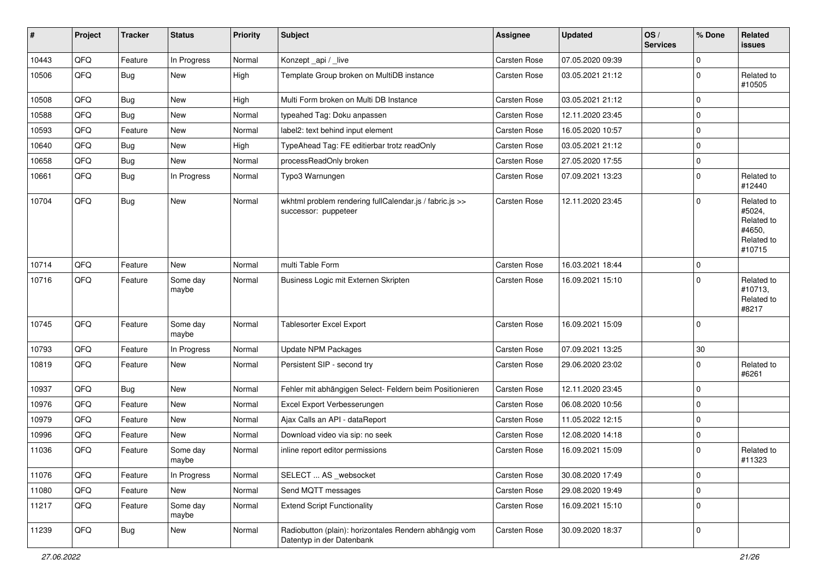| #     | Project | <b>Tracker</b> | <b>Status</b>     | <b>Priority</b> | Subject                                                                             | <b>Assignee</b>     | <b>Updated</b>   | OS/<br><b>Services</b> | % Done      | Related<br>issues                                                    |
|-------|---------|----------------|-------------------|-----------------|-------------------------------------------------------------------------------------|---------------------|------------------|------------------------|-------------|----------------------------------------------------------------------|
| 10443 | QFQ     | Feature        | In Progress       | Normal          | Konzept_api / _live                                                                 | Carsten Rose        | 07.05.2020 09:39 |                        | $\Omega$    |                                                                      |
| 10506 | QFQ     | <b>Bug</b>     | <b>New</b>        | High            | Template Group broken on MultiDB instance                                           | <b>Carsten Rose</b> | 03.05.2021 21:12 |                        | $\Omega$    | Related to<br>#10505                                                 |
| 10508 | QFQ     | Bug            | New               | High            | Multi Form broken on Multi DB Instance                                              | <b>Carsten Rose</b> | 03.05.2021 21:12 |                        | $\mathbf 0$ |                                                                      |
| 10588 | QFQ     | Bug            | <b>New</b>        | Normal          | typeahed Tag: Doku anpassen                                                         | <b>Carsten Rose</b> | 12.11.2020 23:45 |                        | $\Omega$    |                                                                      |
| 10593 | QFQ     | Feature        | New               | Normal          | label2: text behind input element                                                   | <b>Carsten Rose</b> | 16.05.2020 10:57 |                        | $\Omega$    |                                                                      |
| 10640 | QFQ     | Bug            | <b>New</b>        | High            | TypeAhead Tag: FE editierbar trotz readOnly                                         | Carsten Rose        | 03.05.2021 21:12 |                        | $\mathbf 0$ |                                                                      |
| 10658 | QFQ     | <b>Bug</b>     | <b>New</b>        | Normal          | processReadOnly broken                                                              | <b>Carsten Rose</b> | 27.05.2020 17:55 |                        | $\Omega$    |                                                                      |
| 10661 | QFQ     | Bug            | In Progress       | Normal          | Typo3 Warnungen                                                                     | Carsten Rose        | 07.09.2021 13:23 |                        | $\mathbf 0$ | Related to<br>#12440                                                 |
| 10704 | QFQ     | <b>Bug</b>     | <b>New</b>        | Normal          | wkhtml problem rendering fullCalendar.js / fabric.js >><br>successor: puppeteer     | <b>Carsten Rose</b> | 12.11.2020 23:45 |                        | $\mathbf 0$ | Related to<br>#5024,<br>Related to<br>#4650,<br>Related to<br>#10715 |
| 10714 | QFQ     | Feature        | <b>New</b>        | Normal          | multi Table Form                                                                    | <b>Carsten Rose</b> | 16.03.2021 18:44 |                        | $\mathbf 0$ |                                                                      |
| 10716 | QFQ     | Feature        | Some day<br>maybe | Normal          | Business Logic mit Externen Skripten                                                | Carsten Rose        | 16.09.2021 15:10 |                        | $\Omega$    | Related to<br>#10713,<br>Related to<br>#8217                         |
| 10745 | QFQ     | Feature        | Some day<br>maybe | Normal          | Tablesorter Excel Export                                                            | Carsten Rose        | 16.09.2021 15:09 |                        | $\Omega$    |                                                                      |
| 10793 | QFQ     | Feature        | In Progress       | Normal          | <b>Update NPM Packages</b>                                                          | Carsten Rose        | 07.09.2021 13:25 |                        | 30          |                                                                      |
| 10819 | QFQ     | Feature        | New               | Normal          | Persistent SIP - second try                                                         | Carsten Rose        | 29.06.2020 23:02 |                        | $\Omega$    | Related to<br>#6261                                                  |
| 10937 | QFQ     | Bug            | New               | Normal          | Fehler mit abhängigen Select- Feldern beim Positionieren                            | <b>Carsten Rose</b> | 12.11.2020 23:45 |                        | $\mathbf 0$ |                                                                      |
| 10976 | QFQ     | Feature        | <b>New</b>        | Normal          | Excel Export Verbesserungen                                                         | Carsten Rose        | 06.08.2020 10:56 |                        | $\mathbf 0$ |                                                                      |
| 10979 | QFQ     | Feature        | <b>New</b>        | Normal          | Ajax Calls an API - dataReport                                                      | <b>Carsten Rose</b> | 11.05.2022 12:15 |                        | $\mathbf 0$ |                                                                      |
| 10996 | QFQ     | Feature        | New               | Normal          | Download video via sip: no seek                                                     | Carsten Rose        | 12.08.2020 14:18 |                        | $\Omega$    |                                                                      |
| 11036 | QFQ     | Feature        | Some day<br>maybe | Normal          | inline report editor permissions                                                    | <b>Carsten Rose</b> | 16.09.2021 15:09 |                        | 0           | Related to<br>#11323                                                 |
| 11076 | QFQ     | Feature        | In Progress       | Normal          | SELECT  AS _websocket                                                               | Carsten Rose        | 30.08.2020 17:49 |                        | $\mathbf 0$ |                                                                      |
| 11080 | QFQ     | Feature        | New               | Normal          | Send MQTT messages                                                                  | Carsten Rose        | 29.08.2020 19:49 |                        | $\mathbf 0$ |                                                                      |
| 11217 | QFQ     | Feature        | Some day<br>maybe | Normal          | <b>Extend Script Functionality</b>                                                  | Carsten Rose        | 16.09.2021 15:10 |                        | $\Omega$    |                                                                      |
| 11239 | QFG     | Bug            | New               | Normal          | Radiobutton (plain): horizontales Rendern abhängig vom<br>Datentyp in der Datenbank | Carsten Rose        | 30.09.2020 18:37 |                        | $\mathbf 0$ |                                                                      |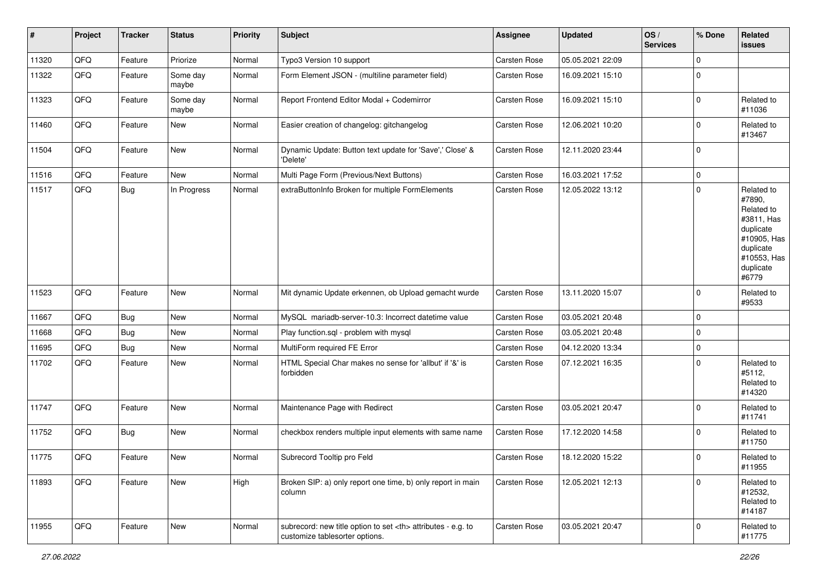| $\vert$ # | Project | <b>Tracker</b> | <b>Status</b>     | <b>Priority</b> | <b>Subject</b>                                                                                       | Assignee                                               | <b>Updated</b>   | OS/<br><b>Services</b> | % Done      | Related<br><b>issues</b>                                                                                                       |                      |
|-----------|---------|----------------|-------------------|-----------------|------------------------------------------------------------------------------------------------------|--------------------------------------------------------|------------------|------------------------|-------------|--------------------------------------------------------------------------------------------------------------------------------|----------------------|
| 11320     | QFQ     | Feature        | Priorize          | Normal          | Typo3 Version 10 support                                                                             | Carsten Rose                                           | 05.05.2021 22:09 |                        | $\mathbf 0$ |                                                                                                                                |                      |
| 11322     | QFQ     | Feature        | Some day<br>maybe | Normal          | Form Element JSON - (multiline parameter field)                                                      | Carsten Rose                                           | 16.09.2021 15:10 |                        | $\mathbf 0$ |                                                                                                                                |                      |
| 11323     | QFQ     | Feature        | Some day<br>maybe | Normal          | Report Frontend Editor Modal + Codemirror                                                            | Carsten Rose                                           | 16.09.2021 15:10 |                        | $\mathbf 0$ | Related to<br>#11036                                                                                                           |                      |
| 11460     | QFQ     | Feature        | New               | Normal          | Easier creation of changelog: gitchangelog                                                           | Carsten Rose                                           | 12.06.2021 10:20 |                        | $\mathbf 0$ | Related to<br>#13467                                                                                                           |                      |
| 11504     | QFQ     | Feature        | New               | Normal          | Dynamic Update: Button text update for 'Save',' Close' &<br>'Delete'                                 | Carsten Rose                                           | 12.11.2020 23:44 |                        | $\mathbf 0$ |                                                                                                                                |                      |
| 11516     | QFQ     | Feature        | New               | Normal          | Multi Page Form (Previous/Next Buttons)                                                              | Carsten Rose                                           | 16.03.2021 17:52 |                        | $\mathsf 0$ |                                                                                                                                |                      |
| 11517     | QFQ     | Bug            | In Progress       | Normal          | extraButtonInfo Broken for multiple FormElements                                                     | Carsten Rose                                           | 12.05.2022 13:12 |                        | $\mathbf 0$ | Related to<br>#7890,<br>Related to<br>#3811, Has<br>duplicate<br>#10905, Has<br>duplicate<br>#10553, Has<br>duplicate<br>#6779 |                      |
| 11523     | QFQ     | Feature        | <b>New</b>        | Normal          | Mit dynamic Update erkennen, ob Upload gemacht wurde                                                 | Carsten Rose                                           | 13.11.2020 15:07 |                        | $\mathbf 0$ | Related to<br>#9533                                                                                                            |                      |
| 11667     | QFQ     | Bug            | <b>New</b>        | Normal          | MySQL mariadb-server-10.3: Incorrect datetime value                                                  | Carsten Rose                                           | 03.05.2021 20:48 |                        | $\mathbf 0$ |                                                                                                                                |                      |
| 11668     | QFQ     | Bug            | New               | Normal          | Play function.sql - problem with mysql                                                               | Carsten Rose                                           | 03.05.2021 20:48 |                        | $\mathbf 0$ |                                                                                                                                |                      |
| 11695     | QFQ     | Bug            | New               | Normal          | MultiForm required FE Error                                                                          | Carsten Rose                                           | 04.12.2020 13:34 |                        | $\mathsf 0$ |                                                                                                                                |                      |
| 11702     | QFQ     | Feature        | New               | Normal          | HTML Special Char makes no sense for 'allbut' if '&' is<br>forbidden                                 | Carsten Rose                                           | 07.12.2021 16:35 |                        | $\mathbf 0$ | Related to<br>#5112,<br>Related to<br>#14320                                                                                   |                      |
| 11747     | QFQ     | Feature        | New               | Normal          | Maintenance Page with Redirect                                                                       | Carsten Rose                                           | 03.05.2021 20:47 |                        | $\mathbf 0$ | Related to<br>#11741                                                                                                           |                      |
| 11752     | QFQ     | Bug            | <b>New</b>        | Normal          | checkbox renders multiple input elements with same name                                              | Carsten Rose                                           | 17.12.2020 14:58 |                        | $\mathbf 0$ | Related to<br>#11750                                                                                                           |                      |
| 11775     | QFQ     | Feature        | New               | Normal          | Subrecord Tooltip pro Feld                                                                           | Carsten Rose                                           | 18.12.2020 15:22 |                        | $\mathbf 0$ | Related to<br>#11955                                                                                                           |                      |
| 11893     | QFQ     | Feature        | New               | High            | Broken SIP: a) only report one time, b) only report in main<br>column                                | Carsten Rose                                           | 12.05.2021 12:13 |                        | $\mathbf 0$ | Related to<br>#12532,<br>Related to<br>#14187                                                                                  |                      |
| 11955     | QFQ     | Feature        | New               | Normal          | subrecord: new title option to set <th> attributes - e.g. to<br/>customize tablesorter options.</th> | attributes - e.g. to<br>customize tablesorter options. | Carsten Rose     | 03.05.2021 20:47       |             | $\mathbf 0$                                                                                                                    | Related to<br>#11775 |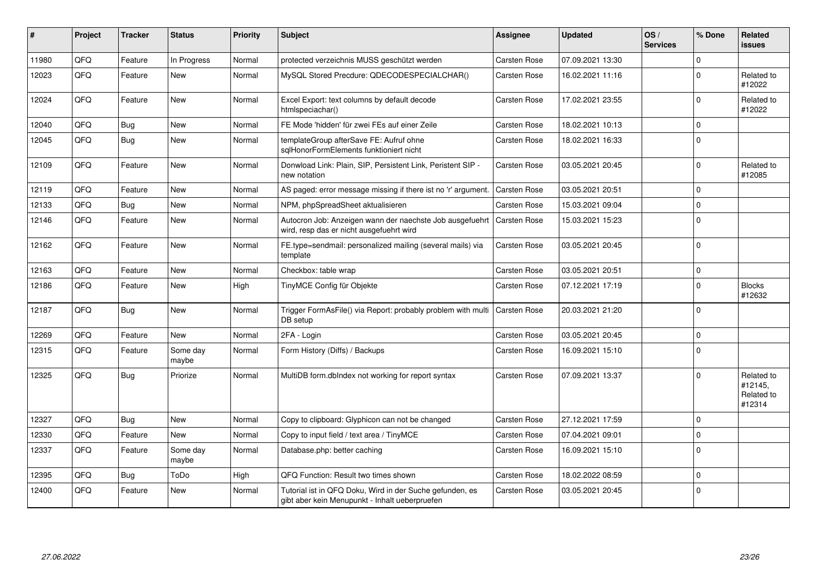| #     | <b>Project</b> | <b>Tracker</b> | <b>Status</b>     | <b>Priority</b> | <b>Subject</b>                                                                                             | <b>Assignee</b>     | <b>Updated</b>   | OS/<br><b>Services</b> | % Done       | Related<br><b>issues</b>                      |
|-------|----------------|----------------|-------------------|-----------------|------------------------------------------------------------------------------------------------------------|---------------------|------------------|------------------------|--------------|-----------------------------------------------|
| 11980 | QFQ            | Feature        | In Progress       | Normal          | protected verzeichnis MUSS geschützt werden                                                                | <b>Carsten Rose</b> | 07.09.2021 13:30 |                        | <sup>0</sup> |                                               |
| 12023 | QFQ            | Feature        | <b>New</b>        | Normal          | MySQL Stored Precdure: QDECODESPECIALCHAR()                                                                | Carsten Rose        | 16.02.2021 11:16 |                        | $\Omega$     | Related to<br>#12022                          |
| 12024 | QFQ            | Feature        | <b>New</b>        | Normal          | Excel Export: text columns by default decode<br>htmlspeciachar()                                           | <b>Carsten Rose</b> | 17.02.2021 23:55 |                        | $\Omega$     | Related to<br>#12022                          |
| 12040 | QFQ            | Bug            | <b>New</b>        | Normal          | FE Mode 'hidden' für zwei FEs auf einer Zeile                                                              | <b>Carsten Rose</b> | 18.02.2021 10:13 |                        | 0            |                                               |
| 12045 | QFQ            | Bug            | <b>New</b>        | Normal          | templateGroup afterSave FE: Aufruf ohne<br>sqlHonorFormElements funktioniert nicht                         | Carsten Rose        | 18.02.2021 16:33 |                        | $\Omega$     |                                               |
| 12109 | QFQ            | Feature        | <b>New</b>        | Normal          | Donwload Link: Plain, SIP, Persistent Link, Peristent SIP -<br>new notation                                | <b>Carsten Rose</b> | 03.05.2021 20:45 |                        | $\Omega$     | Related to<br>#12085                          |
| 12119 | QFQ            | Feature        | <b>New</b>        | Normal          | AS paged: error message missing if there ist no 'r' argument.                                              | <b>Carsten Rose</b> | 03.05.2021 20:51 |                        | $\Omega$     |                                               |
| 12133 | QFQ            | Bug            | <b>New</b>        | Normal          | NPM, phpSpreadSheet aktualisieren                                                                          | Carsten Rose        | 15.03.2021 09:04 |                        | $\Omega$     |                                               |
| 12146 | QFQ            | Feature        | New               | Normal          | Autocron Job: Anzeigen wann der naechste Job ausgefuehrt<br>wird, resp das er nicht ausgefuehrt wird       | <b>Carsten Rose</b> | 15.03.2021 15:23 |                        | $\Omega$     |                                               |
| 12162 | QFQ            | Feature        | <b>New</b>        | Normal          | FE.type=sendmail: personalized mailing (several mails) via<br>template                                     | <b>Carsten Rose</b> | 03.05.2021 20:45 |                        | $\Omega$     |                                               |
| 12163 | QFQ            | Feature        | <b>New</b>        | Normal          | Checkbox: table wrap                                                                                       | <b>Carsten Rose</b> | 03.05.2021 20:51 |                        | 0            |                                               |
| 12186 | QFQ            | Feature        | <b>New</b>        | High            | TinyMCE Config für Objekte                                                                                 | <b>Carsten Rose</b> | 07.12.2021 17:19 |                        | $\Omega$     | <b>Blocks</b><br>#12632                       |
| 12187 | QFQ            | Bug            | <b>New</b>        | Normal          | Trigger FormAsFile() via Report: probably problem with multi<br>DB setup                                   | <b>Carsten Rose</b> | 20.03.2021 21:20 |                        | $\Omega$     |                                               |
| 12269 | QFQ            | Feature        | <b>New</b>        | Normal          | 2FA - Login                                                                                                | <b>Carsten Rose</b> | 03.05.2021 20:45 |                        | $\Omega$     |                                               |
| 12315 | QFQ            | Feature        | Some day<br>maybe | Normal          | Form History (Diffs) / Backups                                                                             | Carsten Rose        | 16.09.2021 15:10 |                        | $\Omega$     |                                               |
| 12325 | QFQ            | Bug            | Priorize          | Normal          | MultiDB form.dblndex not working for report syntax                                                         | <b>Carsten Rose</b> | 07.09.2021 13:37 |                        | $\Omega$     | Related to<br>#12145,<br>Related to<br>#12314 |
| 12327 | QFQ            | Bug            | <b>New</b>        | Normal          | Copy to clipboard: Glyphicon can not be changed                                                            | Carsten Rose        | 27.12.2021 17:59 |                        | $\Omega$     |                                               |
| 12330 | QFQ            | Feature        | New               | Normal          | Copy to input field / text area / TinyMCE                                                                  | <b>Carsten Rose</b> | 07.04.2021 09:01 |                        | $\Omega$     |                                               |
| 12337 | QFQ            | Feature        | Some day<br>maybe | Normal          | Database.php: better caching                                                                               | Carsten Rose        | 16.09.2021 15:10 |                        | $\Omega$     |                                               |
| 12395 | QFQ            | Bug            | ToDo              | High            | QFQ Function: Result two times shown                                                                       | <b>Carsten Rose</b> | 18.02.2022 08:59 |                        | 0            |                                               |
| 12400 | QFQ            | Feature        | <b>New</b>        | Normal          | Tutorial ist in QFQ Doku, Wird in der Suche gefunden, es<br>gibt aber kein Menupunkt - Inhalt ueberpruefen | <b>Carsten Rose</b> | 03.05.2021 20:45 |                        | $\Omega$     |                                               |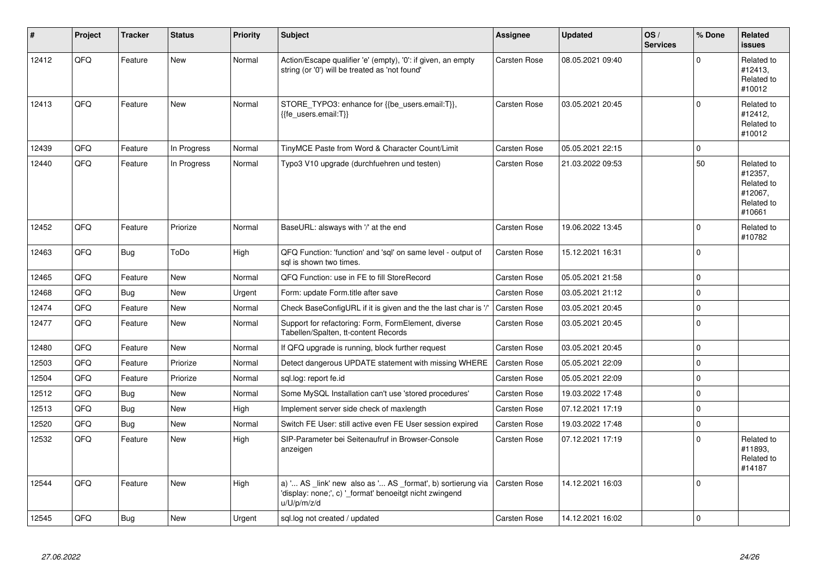| ∦     | Project | <b>Tracker</b> | <b>Status</b> | <b>Priority</b> | <b>Subject</b>                                                                                                                        | <b>Assignee</b>     | <b>Updated</b>   | OS/<br><b>Services</b> | % Done      | Related<br><b>issues</b>                                               |
|-------|---------|----------------|---------------|-----------------|---------------------------------------------------------------------------------------------------------------------------------------|---------------------|------------------|------------------------|-------------|------------------------------------------------------------------------|
| 12412 | QFQ     | Feature        | <b>New</b>    | Normal          | Action/Escape qualifier 'e' (empty), '0': if given, an empty<br>string (or '0') will be treated as 'not found'                        | Carsten Rose        | 08.05.2021 09:40 |                        | $\Omega$    | Related to<br>#12413,<br>Related to<br>#10012                          |
| 12413 | QFQ     | Feature        | <b>New</b>    | Normal          | STORE_TYPO3: enhance for {{be_users.email:T}},<br>{{fe users.email:T}}                                                                | Carsten Rose        | 03.05.2021 20:45 |                        | $\Omega$    | Related to<br>#12412,<br>Related to<br>#10012                          |
| 12439 | QFQ     | Feature        | In Progress   | Normal          | TinyMCE Paste from Word & Character Count/Limit                                                                                       | Carsten Rose        | 05.05.2021 22:15 |                        | $\Omega$    |                                                                        |
| 12440 | QFQ     | Feature        | In Progress   | Normal          | Typo3 V10 upgrade (durchfuehren und testen)                                                                                           | <b>Carsten Rose</b> | 21.03.2022 09:53 |                        | 50          | Related to<br>#12357,<br>Related to<br>#12067,<br>Related to<br>#10661 |
| 12452 | QFQ     | Feature        | Priorize      | Normal          | BaseURL: alsways with '/' at the end                                                                                                  | Carsten Rose        | 19.06.2022 13:45 |                        | $\Omega$    | Related to<br>#10782                                                   |
| 12463 | QFQ     | <b>Bug</b>     | ToDo          | High            | QFQ Function: 'function' and 'sql' on same level - output of<br>sql is shown two times.                                               | <b>Carsten Rose</b> | 15.12.2021 16:31 |                        | $\mathbf 0$ |                                                                        |
| 12465 | QFQ     | Feature        | New           | Normal          | QFQ Function: use in FE to fill StoreRecord                                                                                           | Carsten Rose        | 05.05.2021 21:58 |                        | $\mathbf 0$ |                                                                        |
| 12468 | QFQ     | Bug            | <b>New</b>    | Urgent          | Form: update Form.title after save                                                                                                    | <b>Carsten Rose</b> | 03.05.2021 21:12 |                        | $\mathbf 0$ |                                                                        |
| 12474 | QFQ     | Feature        | <b>New</b>    | Normal          | Check BaseConfigURL if it is given and the the last char is '/'                                                                       | <b>Carsten Rose</b> | 03.05.2021 20:45 |                        | $\mathbf 0$ |                                                                        |
| 12477 | QFQ     | Feature        | <b>New</b>    | Normal          | Support for refactoring: Form, FormElement, diverse<br>Tabellen/Spalten, tt-content Records                                           | Carsten Rose        | 03.05.2021 20:45 |                        | $\Omega$    |                                                                        |
| 12480 | QFQ     | Feature        | <b>New</b>    | Normal          | If QFQ upgrade is running, block further request                                                                                      | <b>Carsten Rose</b> | 03.05.2021 20:45 |                        | $\Omega$    |                                                                        |
| 12503 | QFQ     | Feature        | Priorize      | Normal          | Detect dangerous UPDATE statement with missing WHERE                                                                                  | Carsten Rose        | 05.05.2021 22:09 |                        | $\mathbf 0$ |                                                                        |
| 12504 | QFQ     | Feature        | Priorize      | Normal          | sgl.log: report fe.id                                                                                                                 | <b>Carsten Rose</b> | 05.05.2021 22:09 |                        | $\mathbf 0$ |                                                                        |
| 12512 | QFQ     | Bug            | <b>New</b>    | Normal          | Some MySQL Installation can't use 'stored procedures'                                                                                 | <b>Carsten Rose</b> | 19.03.2022 17:48 |                        | $\Omega$    |                                                                        |
| 12513 | QFQ     | <b>Bug</b>     | New           | High            | Implement server side check of maxlength                                                                                              | Carsten Rose        | 07.12.2021 17:19 |                        | $\Omega$    |                                                                        |
| 12520 | QFQ     | Bug            | <b>New</b>    | Normal          | Switch FE User: still active even FE User session expired                                                                             | <b>Carsten Rose</b> | 19.03.2022 17:48 |                        | $\mathbf 0$ |                                                                        |
| 12532 | QFQ     | Feature        | <b>New</b>    | High            | SIP-Parameter bei Seitenaufruf in Browser-Console<br>anzeigen                                                                         | <b>Carsten Rose</b> | 07.12.2021 17:19 |                        | $\mathbf 0$ | Related to<br>#11893,<br>Related to<br>#14187                          |
| 12544 | QFQ     | Feature        | <b>New</b>    | High            | a) ' AS _link' new also as ' AS _format', b) sortierung via<br>'display: none;', c) ' format' benoeitgt nicht zwingend<br>u/U/p/m/z/d | <b>Carsten Rose</b> | 14.12.2021 16:03 |                        | $\Omega$    |                                                                        |
| 12545 | QFQ     | Bug            | <b>New</b>    | Urgent          | sql.log not created / updated                                                                                                         | Carsten Rose        | 14.12.2021 16:02 |                        | $\Omega$    |                                                                        |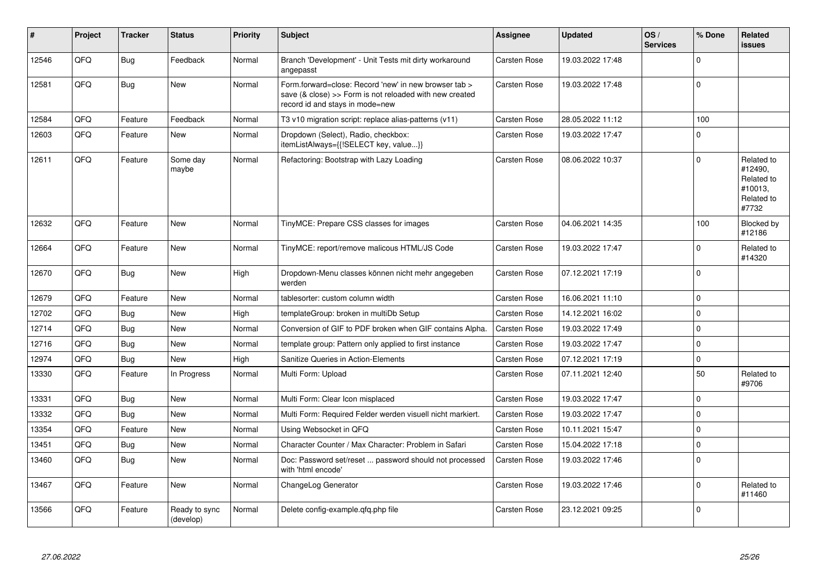| #     | Project | <b>Tracker</b> | <b>Status</b>              | <b>Priority</b> | <b>Subject</b>                                                                                                                                      | <b>Assignee</b>     | <b>Updated</b>   | OS/<br><b>Services</b> | % Done      | Related<br><b>issues</b>                                              |
|-------|---------|----------------|----------------------------|-----------------|-----------------------------------------------------------------------------------------------------------------------------------------------------|---------------------|------------------|------------------------|-------------|-----------------------------------------------------------------------|
| 12546 | QFQ     | <b>Bug</b>     | Feedback                   | Normal          | Branch 'Development' - Unit Tests mit dirty workaround<br>angepasst                                                                                 | <b>Carsten Rose</b> | 19.03.2022 17:48 |                        | $\Omega$    |                                                                       |
| 12581 | QFQ     | <b>Bug</b>     | <b>New</b>                 | Normal          | Form forward=close: Record 'new' in new browser tab ><br>save (& close) >> Form is not reloaded with new created<br>record id and stays in mode=new | <b>Carsten Rose</b> | 19.03.2022 17:48 |                        | $\Omega$    |                                                                       |
| 12584 | QFQ     | Feature        | Feedback                   | Normal          | T3 v10 migration script: replace alias-patterns (v11)                                                                                               | <b>Carsten Rose</b> | 28.05.2022 11:12 |                        | 100         |                                                                       |
| 12603 | QFQ     | Feature        | <b>New</b>                 | Normal          | Dropdown (Select), Radio, checkbox:<br>itemListAlways={{!SELECT key, value}}                                                                        | <b>Carsten Rose</b> | 19.03.2022 17:47 |                        | $\Omega$    |                                                                       |
| 12611 | QFQ     | Feature        | Some day<br>maybe          | Normal          | Refactoring: Bootstrap with Lazy Loading                                                                                                            | <b>Carsten Rose</b> | 08.06.2022 10:37 |                        | $\Omega$    | Related to<br>#12490,<br>Related to<br>#10013,<br>Related to<br>#7732 |
| 12632 | QFQ     | Feature        | <b>New</b>                 | Normal          | TinyMCE: Prepare CSS classes for images                                                                                                             | <b>Carsten Rose</b> | 04.06.2021 14:35 |                        | 100         | Blocked by<br>#12186                                                  |
| 12664 | QFQ     | Feature        | <b>New</b>                 | Normal          | TinyMCE: report/remove malicous HTML/JS Code                                                                                                        | <b>Carsten Rose</b> | 19.03.2022 17:47 |                        | $\Omega$    | Related to<br>#14320                                                  |
| 12670 | QFQ     | <b>Bug</b>     | <b>New</b>                 | High            | Dropdown-Menu classes können nicht mehr angegeben<br>werden                                                                                         | <b>Carsten Rose</b> | 07.12.2021 17:19 |                        | $\mathbf 0$ |                                                                       |
| 12679 | QFQ     | Feature        | New                        | Normal          | tablesorter: custom column width                                                                                                                    | Carsten Rose        | 16.06.2021 11:10 |                        | $\Omega$    |                                                                       |
| 12702 | QFQ     | <b>Bug</b>     | <b>New</b>                 | High            | templateGroup: broken in multiDb Setup                                                                                                              | <b>Carsten Rose</b> | 14.12.2021 16:02 |                        | $\Omega$    |                                                                       |
| 12714 | QFQ     | Bug            | <b>New</b>                 | Normal          | Conversion of GIF to PDF broken when GIF contains Alpha.                                                                                            | Carsten Rose        | 19.03.2022 17:49 |                        | $\Omega$    |                                                                       |
| 12716 | QFQ     | <b>Bug</b>     | New                        | Normal          | template group: Pattern only applied to first instance                                                                                              | <b>Carsten Rose</b> | 19.03.2022 17:47 |                        | $\mathbf 0$ |                                                                       |
| 12974 | QFQ     | Bug            | <b>New</b>                 | High            | Sanitize Queries in Action-Elements                                                                                                                 | <b>Carsten Rose</b> | 07.12.2021 17:19 |                        | $\Omega$    |                                                                       |
| 13330 | QFQ     | Feature        | In Progress                | Normal          | Multi Form: Upload                                                                                                                                  | <b>Carsten Rose</b> | 07.11.2021 12:40 |                        | 50          | Related to<br>#9706                                                   |
| 13331 | OFO     | <b>Bug</b>     | New                        | Normal          | Multi Form: Clear Icon misplaced                                                                                                                    | <b>Carsten Rose</b> | 19.03.2022 17:47 |                        | $\Omega$    |                                                                       |
| 13332 | QFQ     | Bug            | <b>New</b>                 | Normal          | Multi Form: Required Felder werden visuell nicht markiert.                                                                                          | <b>Carsten Rose</b> | 19.03.2022 17:47 |                        | 0           |                                                                       |
| 13354 | QFQ     | Feature        | <b>New</b>                 | Normal          | Using Websocket in QFQ                                                                                                                              | <b>Carsten Rose</b> | 10.11.2021 15:47 |                        | $\Omega$    |                                                                       |
| 13451 | QFQ     | <b>Bug</b>     | New                        | Normal          | Character Counter / Max Character: Problem in Safari                                                                                                | <b>Carsten Rose</b> | 15.04.2022 17:18 |                        | $\mathbf 0$ |                                                                       |
| 13460 | QFQ     | <b>Bug</b>     | New                        | Normal          | Doc: Password set/reset  password should not processed<br>with 'html encode'                                                                        | <b>Carsten Rose</b> | 19.03.2022 17:46 |                        | $\Omega$    |                                                                       |
| 13467 | QFQ     | Feature        | <b>New</b>                 | Normal          | ChangeLog Generator                                                                                                                                 | <b>Carsten Rose</b> | 19.03.2022 17:46 |                        | $\Omega$    | Related to<br>#11460                                                  |
| 13566 | QFQ     | Feature        | Ready to sync<br>(develop) | Normal          | Delete config-example.gfg.php file                                                                                                                  | <b>Carsten Rose</b> | 23.12.2021 09:25 |                        | $\Omega$    |                                                                       |